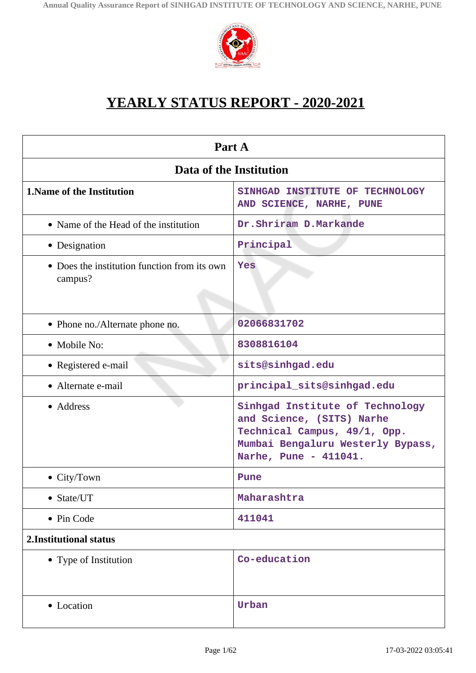

# **YEARLY STATUS REPORT - 2020-2021**

| Part A                                                  |                                                                                                                                                            |  |
|---------------------------------------------------------|------------------------------------------------------------------------------------------------------------------------------------------------------------|--|
| Data of the Institution                                 |                                                                                                                                                            |  |
| <b>1. Name of the Institution</b>                       | SINHGAD INSTITUTE OF TECHNOLOGY<br>AND SCIENCE, NARHE, PUNE                                                                                                |  |
| • Name of the Head of the institution                   | Dr.Shriram D.Markande                                                                                                                                      |  |
| • Designation                                           | Principal                                                                                                                                                  |  |
| • Does the institution function from its own<br>campus? | <b>Yes</b>                                                                                                                                                 |  |
| • Phone no./Alternate phone no.                         | 02066831702                                                                                                                                                |  |
| • Mobile No:                                            | 8308816104                                                                                                                                                 |  |
| • Registered e-mail                                     | sits@sinhgad.edu                                                                                                                                           |  |
| • Alternate e-mail                                      | principal_sits@sinhgad.edu                                                                                                                                 |  |
| • Address                                               | Sinhgad Institute of Technology<br>and Science, (SITS) Narhe<br>Technical Campus, 49/1, Opp.<br>Mumbai Bengaluru Westerly Bypass,<br>Narhe, Pune - 411041. |  |
| • City/Town                                             | Pune                                                                                                                                                       |  |
| • State/UT                                              | Maharashtra                                                                                                                                                |  |
| • Pin Code                                              | 411041                                                                                                                                                     |  |
| 2.Institutional status                                  |                                                                                                                                                            |  |
| • Type of Institution                                   | Co-education                                                                                                                                               |  |
| • Location                                              | Urban                                                                                                                                                      |  |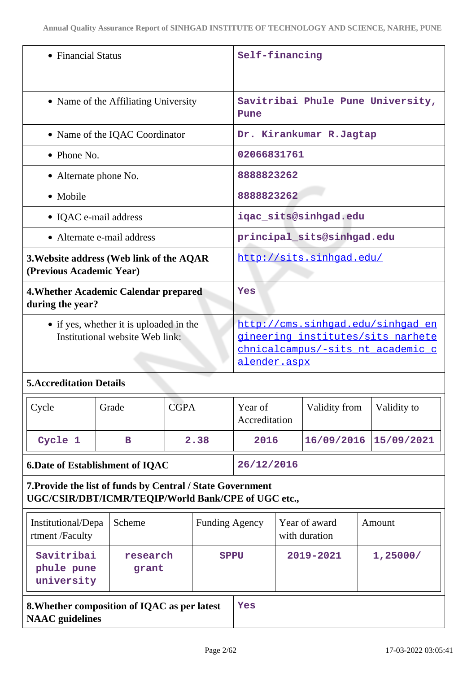| • Financial Status                                                         | Self-financing                                                                                                                     |
|----------------------------------------------------------------------------|------------------------------------------------------------------------------------------------------------------------------------|
| • Name of the Affiliating University                                       | Savitribai Phule Pune University,<br>Pune                                                                                          |
| • Name of the IQAC Coordinator                                             | Dr. Kirankumar R.Jagtap                                                                                                            |
| $\bullet$ Phone No.                                                        | 02066831761                                                                                                                        |
| • Alternate phone No.                                                      | 8888823262                                                                                                                         |
| • Mobile                                                                   | 8888823262                                                                                                                         |
| • IQAC e-mail address                                                      | iqac_sits@sinhgad.edu                                                                                                              |
| • Alternate e-mail address                                                 | principal_sits@sinhgad.edu                                                                                                         |
| 3. Website address (Web link of the AQAR<br>(Previous Academic Year)       | http://sits.sinhqad.edu/                                                                                                           |
| 4. Whether Academic Calendar prepared<br>during the year?                  | Yes                                                                                                                                |
| • if yes, whether it is uploaded in the<br>Institutional website Web link: | http://cms.sinhgad.edu/sinhgad en<br><u>gineering institutes/sits narhete</u><br>chnicalcampus/-sits nt academic c<br>alender.aspx |

### **5.Accreditation Details**

| Cycle   | Grade | <b>CGPA</b> | Year of<br>Accreditation | Validity from             | Validity to |
|---------|-------|-------------|--------------------------|---------------------------|-------------|
| Cycle 1 | в     | 2.38        | 2016                     | $16/09/2016$ $15/09/2021$ |             |

**6.Date of Establishment of IQAC** 26/12/2016

### **7.Provide the list of funds by Central / State Government UGC/CSIR/DBT/ICMR/TEQIP/World Bank/CPE of UGC etc.,**

| Institutional/Depa<br>rtment /Faculty            | Scheme            | <b>Funding Agency</b> | Year of award<br>with duration | Amount   |
|--------------------------------------------------|-------------------|-----------------------|--------------------------------|----------|
| Savitribai<br>phule pune<br>university           | research<br>grant | <b>SPPU</b>           | 2019-2021                      | 1,25000/ |
| $\Omega$ Whather compation of IOAC as not latest |                   | $T - T$               |                                |          |

**8.Whether composition of IQAC as per latest NAAC guidelines Yes**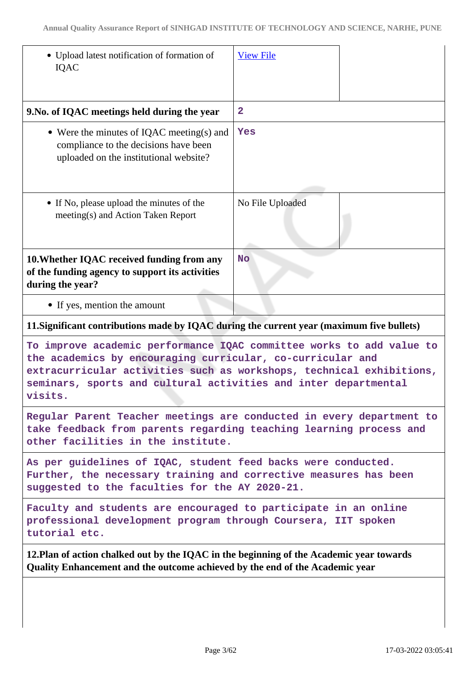| • Upload latest notification of formation of<br>IQAC                                                                                                                                                                                                                                     | <b>View File</b>        |  |
|------------------------------------------------------------------------------------------------------------------------------------------------------------------------------------------------------------------------------------------------------------------------------------------|-------------------------|--|
| 9. No. of IQAC meetings held during the year                                                                                                                                                                                                                                             | $\overline{\mathbf{2}}$ |  |
| • Were the minutes of IQAC meeting(s) and<br>compliance to the decisions have been<br>uploaded on the institutional website?                                                                                                                                                             | Yes                     |  |
| • If No, please upload the minutes of the<br>meeting(s) and Action Taken Report                                                                                                                                                                                                          | No File Uploaded        |  |
| 10. Whether IQAC received funding from any<br>of the funding agency to support its activities<br>during the year?                                                                                                                                                                        | <b>No</b>               |  |
| • If yes, mention the amount                                                                                                                                                                                                                                                             |                         |  |
| 11. Significant contributions made by IQAC during the current year (maximum five bullets)                                                                                                                                                                                                |                         |  |
| To improve academic performance IQAC committee works to add value to<br>the academics by encouraging curricular, co-curricular and<br>extracurricular activities such as workshops, technical exhibitions,<br>seminars, sports and cultural activities and inter departmental<br>visits. |                         |  |
| Regular Parent Teacher meetings are conducted in every department to<br>take feedback from parents regarding teaching learning process and<br>other facilities in the institute.                                                                                                         |                         |  |
| As per guidelines of IQAC, student feed backs were conducted.<br>Further, the necessary training and corrective measures has been<br>suggested to the faculties for the AY 2020-21.                                                                                                      |                         |  |
| Faculty and students are encouraged to participate in an online<br>professional development program through Coursera, IIT spoken<br>tutorial etc.                                                                                                                                        |                         |  |
|                                                                                                                                                                                                                                                                                          |                         |  |
| 12. Plan of action chalked out by the IQAC in the beginning of the Academic year towards<br>Quality Enhancement and the outcome achieved by the end of the Academic year                                                                                                                 |                         |  |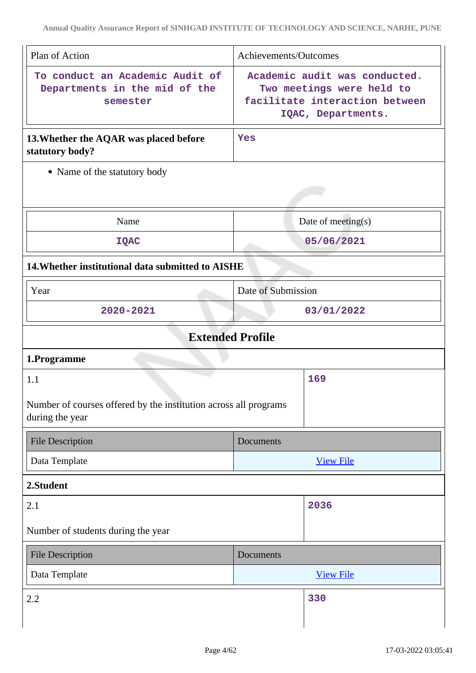| Plan of Action                                                                      | Achievements/Outcomes |                                                                                                                    |
|-------------------------------------------------------------------------------------|-----------------------|--------------------------------------------------------------------------------------------------------------------|
| To conduct an Academic Audit of<br>Departments in the mid of the<br>semester        |                       | Academic audit was conducted.<br>Two meetings were held to<br>facilitate interaction between<br>IQAC, Departments. |
| 13. Whether the AQAR was placed before<br>statutory body?                           | Yes                   |                                                                                                                    |
| • Name of the statutory body                                                        |                       |                                                                                                                    |
|                                                                                     |                       |                                                                                                                    |
| Name                                                                                |                       | Date of meeting(s)                                                                                                 |
| <b>IQAC</b>                                                                         |                       | 05/06/2021                                                                                                         |
| 14. Whether institutional data submitted to AISHE                                   |                       |                                                                                                                    |
| Year                                                                                | Date of Submission    |                                                                                                                    |
| 2020-2021                                                                           | 03/01/2022            |                                                                                                                    |
| <b>Extended Profile</b>                                                             |                       |                                                                                                                    |
| 1.Programme                                                                         |                       |                                                                                                                    |
| 1.1                                                                                 |                       | 169                                                                                                                |
| Number of courses offered by the institution across all programs<br>during the year |                       |                                                                                                                    |
| <b>File Description</b>                                                             | Documents             |                                                                                                                    |
| Data Template                                                                       | <b>View File</b>      |                                                                                                                    |
| 2.Student                                                                           |                       |                                                                                                                    |
| 2.1                                                                                 |                       | 2036                                                                                                               |
| Number of students during the year                                                  |                       |                                                                                                                    |
| <b>File Description</b>                                                             | Documents             |                                                                                                                    |
| Data Template                                                                       |                       | <b>View File</b>                                                                                                   |
| 2.2                                                                                 |                       | 330                                                                                                                |
|                                                                                     |                       |                                                                                                                    |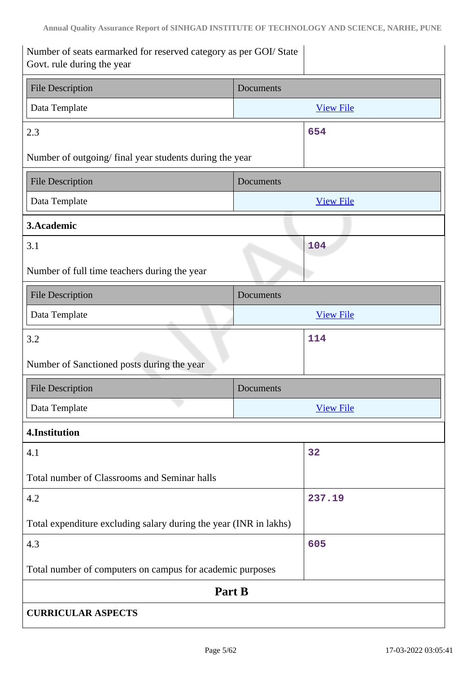| Number of seats earmarked for reserved category as per GOI/ State<br>Govt. rule during the year |                  |  |
|-------------------------------------------------------------------------------------------------|------------------|--|
| <b>File Description</b>                                                                         | Documents        |  |
| Data Template                                                                                   | <b>View File</b> |  |
| 2.3                                                                                             | 654              |  |
| Number of outgoing/final year students during the year                                          |                  |  |
| <b>File Description</b>                                                                         | Documents        |  |
| Data Template                                                                                   | <b>View File</b> |  |
| 3. Academic                                                                                     |                  |  |
| 3.1                                                                                             | 104              |  |
| Number of full time teachers during the year                                                    |                  |  |
| <b>File Description</b>                                                                         | Documents        |  |
| Data Template                                                                                   | <b>View File</b> |  |
| 3.2                                                                                             | 114              |  |
| Number of Sanctioned posts during the year                                                      |                  |  |
| <b>File Description</b>                                                                         | Documents        |  |
| Data Template                                                                                   | <b>View File</b> |  |
| 4.Institution                                                                                   |                  |  |
| 4.1                                                                                             | 32               |  |
| Total number of Classrooms and Seminar halls                                                    |                  |  |
| 4.2                                                                                             | 237.19           |  |
| Total expenditure excluding salary during the year (INR in lakhs)                               |                  |  |
| 4.3                                                                                             | 605              |  |
| Total number of computers on campus for academic purposes                                       |                  |  |
| Part B                                                                                          |                  |  |
| <b>CURRICULAR ASPECTS</b>                                                                       |                  |  |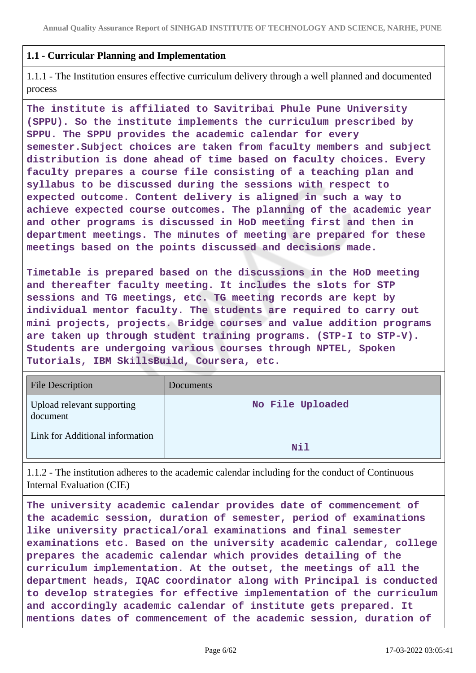#### **1.1 - Curricular Planning and Implementation**

1.1.1 - The Institution ensures effective curriculum delivery through a well planned and documented process

**The institute is affiliated to Savitribai Phule Pune University (SPPU). So the institute implements the curriculum prescribed by SPPU. The SPPU provides the academic calendar for every semester.Subject choices are taken from faculty members and subject distribution is done ahead of time based on faculty choices. Every faculty prepares a course file consisting of a teaching plan and syllabus to be discussed during the sessions with respect to expected outcome. Content delivery is aligned in such a way to achieve expected course outcomes. The planning of the academic year and other programs is discussed in HoD meeting first and then in department meetings. The minutes of meeting are prepared for these meetings based on the points discussed and decisions made.**

**Timetable is prepared based on the discussions in the HoD meeting and thereafter faculty meeting. It includes the slots for STP sessions and TG meetings, etc. TG meeting records are kept by individual mentor faculty. The students are required to carry out mini projects, projects. Bridge courses and value addition programs are taken up through student training programs. (STP-I to STP-V). Students are undergoing various courses through NPTEL, Spoken Tutorials, IBM SkillsBuild, Coursera, etc.**

| <b>File Description</b>                | Documents        |
|----------------------------------------|------------------|
| Upload relevant supporting<br>document | No File Uploaded |
| Link for Additional information        | Nil              |

1.1.2 - The institution adheres to the academic calendar including for the conduct of Continuous Internal Evaluation (CIE)

**The university academic calendar provides date of commencement of the academic session, duration of semester, period of examinations like university practical/oral examinations and final semester examinations etc. Based on the university academic calendar, college prepares the academic calendar which provides detailing of the curriculum implementation. At the outset, the meetings of all the department heads, IQAC coordinator along with Principal is conducted to develop strategies for effective implementation of the curriculum and accordingly academic calendar of institute gets prepared. It mentions dates of commencement of the academic session, duration of**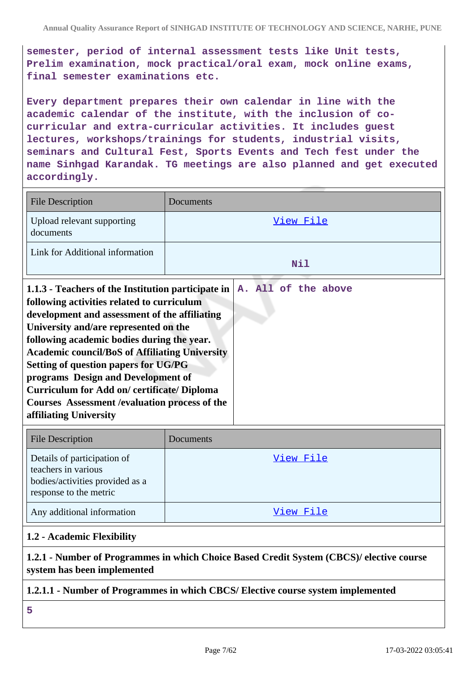**semester, period of internal assessment tests like Unit tests, Prelim examination, mock practical/oral exam, mock online exams, final semester examinations etc.**

**Every department prepares their own calendar in line with the academic calendar of the institute, with the inclusion of cocurricular and extra-curricular activities. It includes guest lectures, workshops/trainings for students, industrial visits, seminars and Cultural Fest, Sports Events and Tech fest under the name Sinhgad Karandak. TG meetings are also planned and get executed accordingly.**

| <b>File Description</b>                                                                                                                                                                                                                                                                                                                                                                                                                                                                                                       | Documents           |
|-------------------------------------------------------------------------------------------------------------------------------------------------------------------------------------------------------------------------------------------------------------------------------------------------------------------------------------------------------------------------------------------------------------------------------------------------------------------------------------------------------------------------------|---------------------|
| Upload relevant supporting<br>documents                                                                                                                                                                                                                                                                                                                                                                                                                                                                                       | View File           |
| Link for Additional information                                                                                                                                                                                                                                                                                                                                                                                                                                                                                               | Nil                 |
| 1.1.3 - Teachers of the Institution participate in<br>following activities related to curriculum<br>development and assessment of the affiliating<br>University and/are represented on the<br>following academic bodies during the year.<br><b>Academic council/BoS of Affiliating University</b><br><b>Setting of question papers for UG/PG</b><br>programs Design and Development of<br><b>Curriculum for Add on/certificate/Diploma</b><br><b>Courses Assessment / evaluation process of the</b><br>affiliating University | A. All of the above |

| <b>File Description</b>                                                                                         | Documents |
|-----------------------------------------------------------------------------------------------------------------|-----------|
| Details of participation of<br>teachers in various<br>bodies/activities provided as a<br>response to the metric | View File |
| Any additional information                                                                                      | View File |

#### **1.2 - Academic Flexibility**

**1.2.1 - Number of Programmes in which Choice Based Credit System (CBCS)/ elective course system has been implemented**

#### **1.2.1.1 - Number of Programmes in which CBCS/ Elective course system implemented**

**5**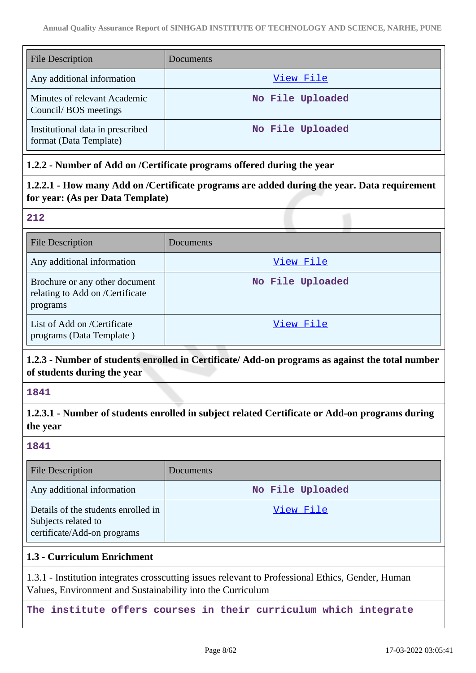| <b>File Description</b>                                    | <b>Documents</b> |
|------------------------------------------------------------|------------------|
| Any additional information                                 | View File        |
| Minutes of relevant Academic<br>Council/BOS meetings       | No File Uploaded |
| Institutional data in prescribed<br>format (Data Template) | No File Uploaded |

#### **1.2.2 - Number of Add on /Certificate programs offered during the year**

### **1.2.2.1 - How many Add on /Certificate programs are added during the year. Data requirement for year: (As per Data Template)**

#### **212**

| <b>File Description</b>                                                       | Documents        |
|-------------------------------------------------------------------------------|------------------|
| Any additional information                                                    | View File        |
| Brochure or any other document<br>relating to Add on /Certificate<br>programs | No File Uploaded |
| List of Add on /Certificate<br>programs (Data Template)                       | View File        |

### **1.2.3 - Number of students enrolled in Certificate/ Add-on programs as against the total number of students during the year**

#### **1841**

**1.2.3.1 - Number of students enrolled in subject related Certificate or Add-on programs during the year**

#### **1841**

| File Description                                                                          | Documents        |
|-------------------------------------------------------------------------------------------|------------------|
| Any additional information                                                                | No File Uploaded |
| Details of the students enrolled in<br>Subjects related to<br>certificate/Add-on programs | View File        |

### **1.3 - Curriculum Enrichment**

1.3.1 - Institution integrates crosscutting issues relevant to Professional Ethics, Gender, Human Values, Environment and Sustainability into the Curriculum

**The institute offers courses in their curriculum which integrate**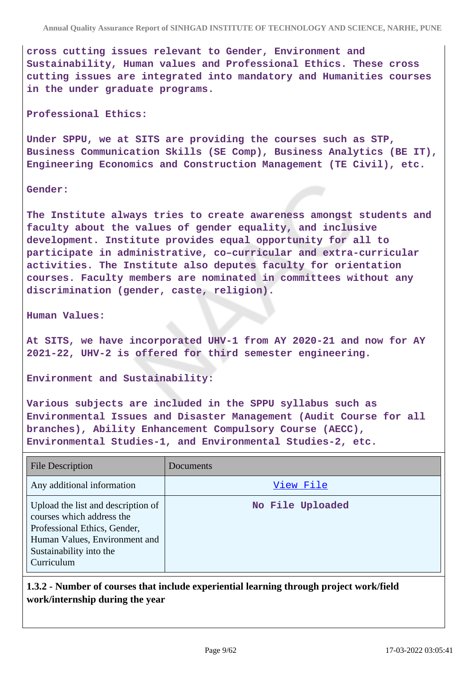**cross cutting issues relevant to Gender, Environment and Sustainability, Human values and Professional Ethics. These cross cutting issues are integrated into mandatory and Humanities courses in the under graduate programs.**

#### **Professional Ethics:**

**Under SPPU, we at SITS are providing the courses such as STP, Business Communication Skills (SE Comp), Business Analytics (BE IT), Engineering Economics and Construction Management (TE Civil), etc.**

#### **Gender:**

**The Institute always tries to create awareness amongst students and faculty about the values of gender equality, and inclusive development. Institute provides equal opportunity for all to participate in administrative, co–curricular and extra-curricular activities. The Institute also deputes faculty for orientation courses. Faculty members are nominated in committees without any discrimination (gender, caste, religion).**

#### **Human Values:**

**At SITS, we have incorporated UHV-1 from AY 2020-21 and now for AY 2021-22, UHV-2 is offered for third semester engineering.**

**Environment and Sustainability:** 

**Various subjects are included in the SPPU syllabus such as Environmental Issues and Disaster Management (Audit Course for all branches), Ability Enhancement Compulsory Course (AECC), Environmental Studies-1, and Environmental Studies-2, etc.**

| <b>File Description</b>                                                                                                                                                   | Documents        |
|---------------------------------------------------------------------------------------------------------------------------------------------------------------------------|------------------|
| Any additional information                                                                                                                                                | View File        |
| Upload the list and description of<br>courses which address the<br>Professional Ethics, Gender,<br>Human Values, Environment and<br>Sustainability into the<br>Curriculum | No File Uploaded |

**1.3.2 - Number of courses that include experiential learning through project work/field work/internship during the year**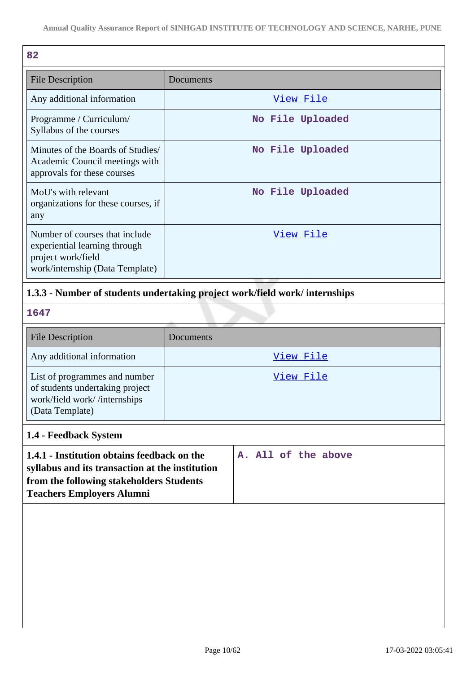| 82                                                                                                                       |                  |  |  |  |
|--------------------------------------------------------------------------------------------------------------------------|------------------|--|--|--|
| <b>File Description</b>                                                                                                  | Documents        |  |  |  |
| Any additional information                                                                                               | View File        |  |  |  |
| Programme / Curriculum/<br>Syllabus of the courses                                                                       | No File Uploaded |  |  |  |
| Minutes of the Boards of Studies/<br>Academic Council meetings with<br>approvals for these courses                       | No File Uploaded |  |  |  |
| MoU's with relevant<br>organizations for these courses, if<br>any                                                        | No File Uploaded |  |  |  |
| Number of courses that include<br>experiential learning through<br>project work/field<br>work/internship (Data Template) | View File        |  |  |  |

### **1.3.3 - Number of students undertaking project work/field work/ internships**

**1647**

| <b>File Description</b>                                                                                             | <b>Documents</b> |
|---------------------------------------------------------------------------------------------------------------------|------------------|
| Any additional information                                                                                          | View File        |
| List of programmes and number<br>of students undertaking project<br>work/field work//internships<br>(Data Template) | View File        |

### **1.4 - Feedback System**

| 1.4.1 - Institution obtains feedback on the     |  |  | A. All of the above |
|-------------------------------------------------|--|--|---------------------|
| syllabus and its transaction at the institution |  |  |                     |
| from the following stakeholders Students        |  |  |                     |
| <b>Teachers Employers Alumni</b>                |  |  |                     |
|                                                 |  |  |                     |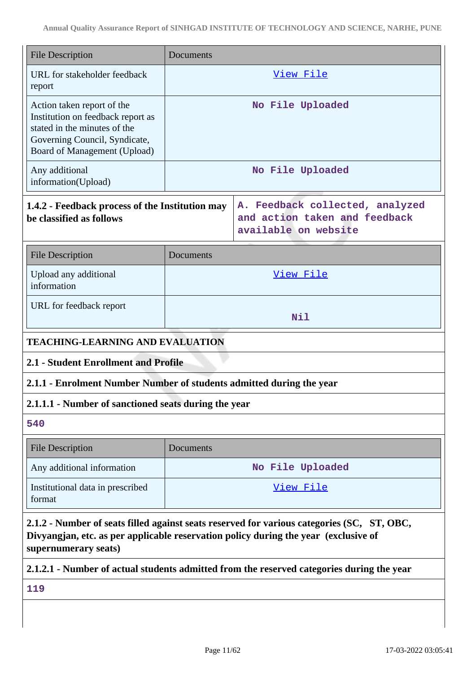| <b>File Description</b>                                                                                                                                                                                   | Documents        |                                                                                          |  |
|-----------------------------------------------------------------------------------------------------------------------------------------------------------------------------------------------------------|------------------|------------------------------------------------------------------------------------------|--|
| URL for stakeholder feedback<br>report                                                                                                                                                                    | View File        |                                                                                          |  |
| Action taken report of the<br>Institution on feedback report as<br>stated in the minutes of the<br>Governing Council, Syndicate,<br>Board of Management (Upload)                                          | No File Uploaded |                                                                                          |  |
| Any additional<br>information(Upload)                                                                                                                                                                     | No File Uploaded |                                                                                          |  |
| 1.4.2 - Feedback process of the Institution may<br>be classified as follows                                                                                                                               |                  | A. Feedback collected, analyzed<br>and action taken and feedback<br>available on website |  |
| <b>File Description</b>                                                                                                                                                                                   | Documents        |                                                                                          |  |
| Upload any additional<br>information                                                                                                                                                                      |                  | View File                                                                                |  |
| URL for feedback report                                                                                                                                                                                   | Nil              |                                                                                          |  |
| <b>TEACHING-LEARNING AND EVALUATION</b>                                                                                                                                                                   |                  |                                                                                          |  |
| 2.1 - Student Enrollment and Profile                                                                                                                                                                      |                  |                                                                                          |  |
| 2.1.1 - Enrolment Number Number of students admitted during the year                                                                                                                                      |                  |                                                                                          |  |
| 2.1.1.1 - Number of sanctioned seats during the year                                                                                                                                                      |                  |                                                                                          |  |
| 540                                                                                                                                                                                                       |                  |                                                                                          |  |
| <b>File Description</b>                                                                                                                                                                                   | Documents        |                                                                                          |  |
| Any additional information                                                                                                                                                                                |                  | No File Uploaded                                                                         |  |
| Institutional data in prescribed<br>format                                                                                                                                                                | View File        |                                                                                          |  |
| 2.1.2 - Number of seats filled against seats reserved for various categories (SC, ST, OBC,<br>Divyangjan, etc. as per applicable reservation policy during the year (exclusive of<br>supernumerary seats) |                  |                                                                                          |  |
| 2.1.2.1 - Number of actual students admitted from the reserved categories during the year                                                                                                                 |                  |                                                                                          |  |
| 119                                                                                                                                                                                                       |                  |                                                                                          |  |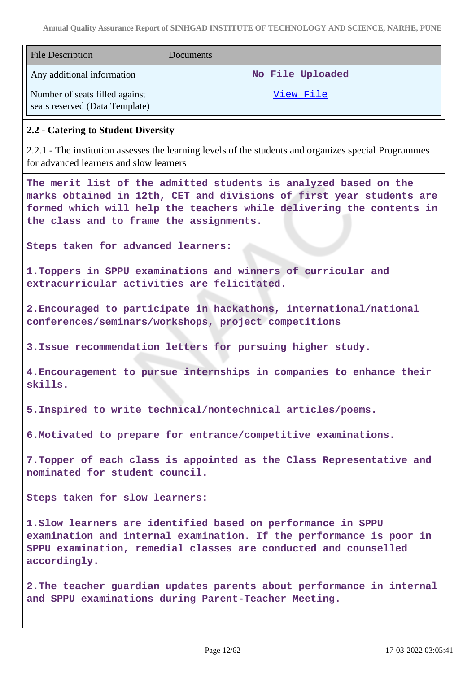| <b>File Description</b>                                                                                                                                                                                                                                     | Documents        |  |  |  |
|-------------------------------------------------------------------------------------------------------------------------------------------------------------------------------------------------------------------------------------------------------------|------------------|--|--|--|
| Any additional information                                                                                                                                                                                                                                  | No File Uploaded |  |  |  |
| Number of seats filled against<br>seats reserved (Data Template)                                                                                                                                                                                            | View File        |  |  |  |
| 2.2 - Catering to Student Diversity                                                                                                                                                                                                                         |                  |  |  |  |
| 2.2.1 - The institution assesses the learning levels of the students and organizes special Programmes<br>for advanced learners and slow learners                                                                                                            |                  |  |  |  |
| The merit list of the admitted students is analyzed based on the<br>marks obtained in 12th, CET and divisions of first year students are<br>formed which will help the teachers while delivering the contents in<br>the class and to frame the assignments. |                  |  |  |  |
| Steps taken for advanced learners:                                                                                                                                                                                                                          |                  |  |  |  |
| 1. Toppers in SPPU examinations and winners of curricular and<br>extracurricular activities are felicitated.                                                                                                                                                |                  |  |  |  |
| 2. Encouraged to participate in hackathons, international/national<br>conferences/seminars/workshops, project competitions                                                                                                                                  |                  |  |  |  |
| 3. Issue recommendation letters for pursuing higher study.                                                                                                                                                                                                  |                  |  |  |  |
| 4. Encouragement to pursue internships in companies to enhance their<br>skills.                                                                                                                                                                             |                  |  |  |  |
| 5. Inspired to write technical/nontechnical articles/poems.                                                                                                                                                                                                 |                  |  |  |  |
| 6. Motivated to prepare for entrance/competitive examinations.                                                                                                                                                                                              |                  |  |  |  |
| 7. Topper of each class is appointed as the Class Representative and<br>nominated for student council.                                                                                                                                                      |                  |  |  |  |
| Steps taken for slow learners:                                                                                                                                                                                                                              |                  |  |  |  |
| 1. Slow learners are identified based on performance in SPPU<br>examination and internal examination. If the performance is poor in<br>SPPU examination, remedial classes are conducted and counselled<br>accordingly.                                      |                  |  |  |  |
| 2. The teacher guardian updates parents about performance in internal<br>and SPPU examinations during Parent-Teacher Meeting.                                                                                                                               |                  |  |  |  |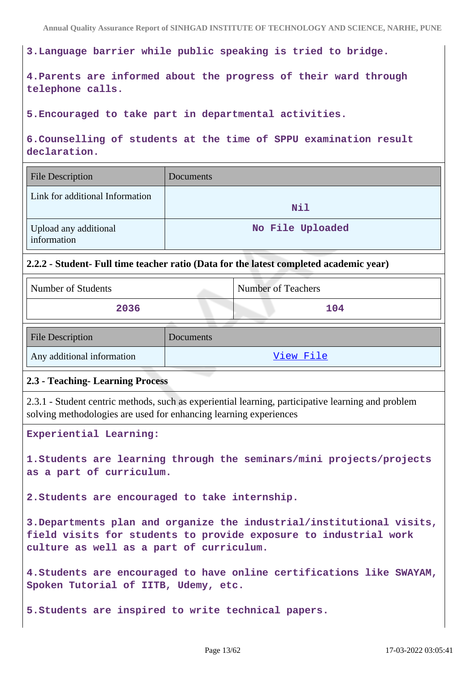**Annual Quality Assurance Report of SINHGAD INSTITUTE OF TECHNOLOGY AND SCIENCE, NARHE, PUNE**

**3.Language barrier while public speaking is tried to bridge.**

**4.Parents are informed about the progress of their ward through telephone calls.**

**5.Encouraged to take part in departmental activities.**

**6.Counselling of students at the time of SPPU examination result declaration.**

| <b>File Description</b>              | Documents        |
|--------------------------------------|------------------|
| Link for additional Information      | Nil              |
| Upload any additional<br>information | No File Uploaded |

#### **2.2.2 - Student- Full time teacher ratio (Data for the latest completed academic year)**

| Number of Students | <b>Number of Teachers</b> |
|--------------------|---------------------------|
| 2036               | 104                       |

| <b>File Description</b>    | <b>Documents</b> |
|----------------------------|------------------|
| Any additional information | View File        |

#### **2.3 - Teaching- Learning Process**

2.3.1 - Student centric methods, such as experiential learning, participative learning and problem solving methodologies are used for enhancing learning experiences

**Experiential Learning:**

**1.Students are learning through the seminars/mini projects/projects as a part of curriculum.**

**2.Students are encouraged to take internship.**

**3.Departments plan and organize the industrial/institutional visits, field visits for students to provide exposure to industrial work culture as well as a part of curriculum.**

**4.Students are encouraged to have online certifications like SWAYAM, Spoken Tutorial of IITB, Udemy, etc.**

**5.Students are inspired to write technical papers.**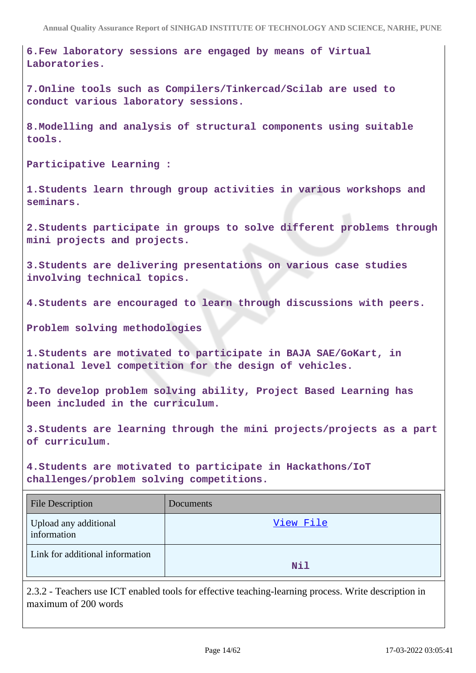**6.Few laboratory sessions are engaged by means of Virtual Laboratories. 7.Online tools such as Compilers/Tinkercad/Scilab are used to conduct various laboratory sessions. 8.Modelling and analysis of structural components using suitable tools. Participative Learning : 1.Students learn through group activities in various workshops and seminars. 2.Students participate in groups to solve different problems through mini projects and projects. 3.Students are delivering presentations on various case studies involving technical topics. 4.Students are encouraged to learn through discussions with peers. Problem solving methodologies 1.Students are motivated to participate in BAJA SAE/GoKart, in national level competition for the design of vehicles. 2.To develop problem solving ability, Project Based Learning has been included in the curriculum. 3.Students are learning through the mini projects/projects as a part of curriculum. 4.Students are motivated to participate in Hackathons/IoT challenges/problem solving competitions.** File Description Documents Upload any additional information [View File](https://assessmentonline.naac.gov.in/storage/app/public/aqar/17086/17086_17_34.pdf?1647509739) Link for additional information

2.3.2 - Teachers use ICT enabled tools for effective teaching-learning process. Write description in maximum of 200 words

**Nil**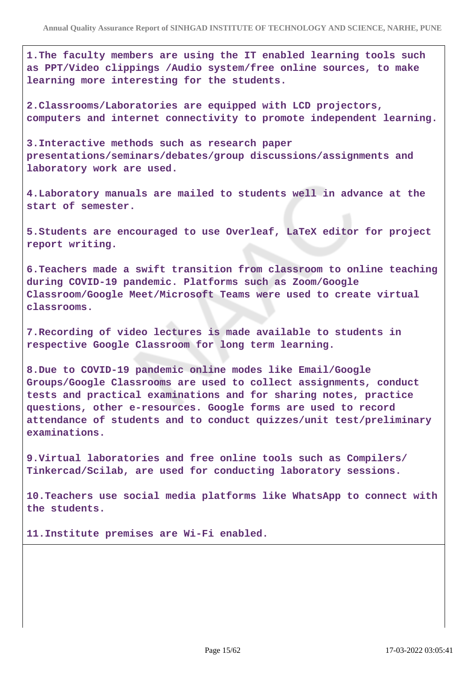**1.The faculty members are using the IT enabled learning tools such as PPT/Video clippings /Audio system/free online sources, to make learning more interesting for the students.**

**2.Classrooms/Laboratories are equipped with LCD projectors, computers and internet connectivity to promote independent learning.**

**3.Interactive methods such as research paper presentations/seminars/debates/group discussions/assignments and laboratory work are used.**

**4.Laboratory manuals are mailed to students well in advance at the start of semester.**

**5.Students are encouraged to use Overleaf, LaTeX editor for project report writing.**

**6.Teachers made a swift transition from classroom to online teaching during COVID-19 pandemic. Platforms such as Zoom/Google Classroom/Google Meet/Microsoft Teams were used to create virtual classrooms.**

**7.Recording of video lectures is made available to students in respective Google Classroom for long term learning.**

**8.Due to COVID-19 pandemic online modes like Email/Google Groups/Google Classrooms are used to collect assignments, conduct tests and practical examinations and for sharing notes, practice questions, other e-resources. Google forms are used to record attendance of students and to conduct quizzes/unit test/preliminary examinations.**

**9.Virtual laboratories and free online tools such as Compilers/ Tinkercad/Scilab, are used for conducting laboratory sessions.**

**10.Teachers use social media platforms like WhatsApp to connect with the students.**

**11.Institute premises are Wi-Fi enabled.**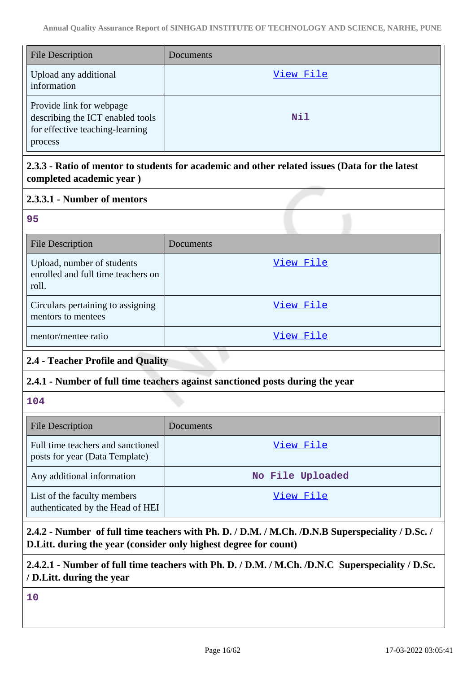| <b>File Description</b>                                                                                    | Documents |
|------------------------------------------------------------------------------------------------------------|-----------|
| Upload any additional<br>information                                                                       | View File |
| Provide link for webpage<br>describing the ICT enabled tools<br>for effective teaching-learning<br>process | Nil       |

### **2.3.3 - Ratio of mentor to students for academic and other related issues (Data for the latest completed academic year )**

### **2.3.3.1 - Number of mentors**

| u.      |                |
|---------|----------------|
|         | ۰.<br>ve a     |
| I<br>۰, | ۰.<br>w<br>. . |
|         |                |

| <b>File Description</b>                                                   | Documents |
|---------------------------------------------------------------------------|-----------|
| Upload, number of students<br>enrolled and full time teachers on<br>roll. | View File |
| Circulars pertaining to assigning<br>mentors to mentees                   | View File |
| mentor/mentee ratio                                                       | View File |

### **2.4 - Teacher Profile and Quality**

### **2.4.1 - Number of full time teachers against sanctioned posts during the year**

### **104**

| <b>File Description</b>                                             | Documents        |
|---------------------------------------------------------------------|------------------|
| Full time teachers and sanctioned<br>posts for year (Data Template) | View File        |
| Any additional information                                          | No File Uploaded |
| List of the faculty members<br>authenticated by the Head of HEI     | View File        |

**2.4.2 - Number of full time teachers with Ph. D. / D.M. / M.Ch. /D.N.B Superspeciality / D.Sc. / D.Litt. during the year (consider only highest degree for count)**

### **2.4.2.1 - Number of full time teachers with Ph. D. / D.M. / M.Ch. /D.N.C Superspeciality / D.Sc. / D.Litt. during the year**

**10**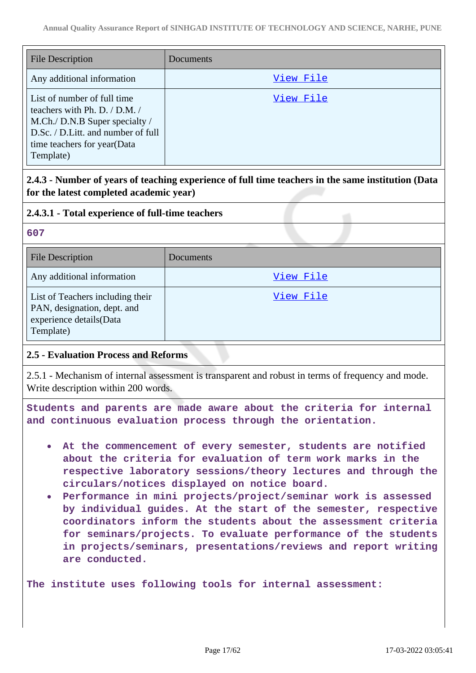| <b>File Description</b>                                                                                                                                                          | Documents |
|----------------------------------------------------------------------------------------------------------------------------------------------------------------------------------|-----------|
| Any additional information                                                                                                                                                       | View File |
| List of number of full time<br>teachers with Ph. D. / D.M. /<br>M.Ch./ D.N.B Super specialty /<br>D.Sc. / D.Litt. and number of full<br>time teachers for year(Data<br>Template) | View File |

### **2.4.3 - Number of years of teaching experience of full time teachers in the same institution (Data for the latest completed academic year)**

### **2.4.3.1 - Total experience of full-time teachers**

| 607                                                                                                     |           |
|---------------------------------------------------------------------------------------------------------|-----------|
| <b>File Description</b>                                                                                 | Documents |
| Any additional information                                                                              | View File |
| List of Teachers including their<br>PAN, designation, dept. and<br>experience details(Data<br>Template) | View File |

#### **2.5 - Evaluation Process and Reforms**

2.5.1 - Mechanism of internal assessment is transparent and robust in terms of frequency and mode. Write description within 200 words.

**Students and parents are made aware about the criteria for internal and continuous evaluation process through the orientation.**

- **At the commencement of every semester, students are notified about the criteria for evaluation of term work marks in the respective laboratory sessions/theory lectures and through the circulars/notices displayed on notice board.**
- **Performance in mini projects/project/seminar work is assessed by individual guides. At the start of the semester, respective coordinators inform the students about the assessment criteria for seminars/projects. To evaluate performance of the students in projects/seminars, presentations/reviews and report writing are conducted.**

**The institute uses following tools for internal assessment:**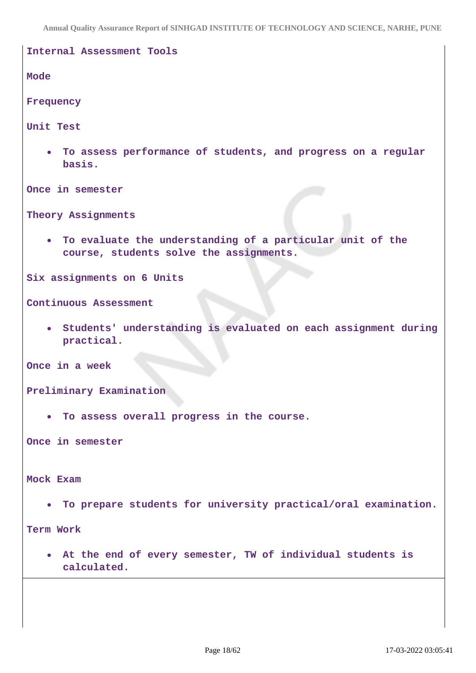**Annual Quality Assurance Report of SINHGAD INSTITUTE OF TECHNOLOGY AND SCIENCE, NARHE, PUNE**

**Internal Assessment Tools**

**Mode**

**Frequency**

**Unit Test**

**To assess performance of students, and progress on a regular basis.**

**Once in semester**

**Theory Assignments**

**To evaluate the understanding of a particular unit of the course, students solve the assignments.**

**Six assignments on 6 Units**

**Continuous Assessment**

**Students' understanding is evaluated on each assignment during practical.**

**Once in a week**

**Preliminary Examination**

**To assess overall progress in the course.**

**Once in semester**

**Mock Exam**

**To prepare students for university practical/oral examination.**

**Term Work**

**At the end of every semester, TW of individual students is calculated.**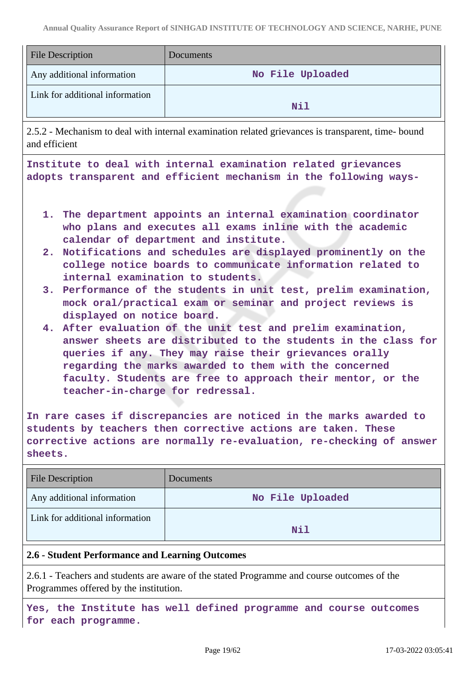| File Description                | Documents        |
|---------------------------------|------------------|
| Any additional information      | No File Uploaded |
| Link for additional information | Nil              |

2.5.2 - Mechanism to deal with internal examination related grievances is transparent, time- bound and efficient

**Institute to deal with internal examination related grievances adopts transparent and efficient mechanism in the following ways-**

- **1. The department appoints an internal examination coordinator who plans and executes all exams inline with the academic calendar of department and institute.**
- **2. Notifications and schedules are displayed prominently on the college notice boards to communicate information related to internal examination to students.**
- **3. Performance of the students in unit test, prelim examination, mock oral/practical exam or seminar and project reviews is displayed on notice board.**
- **4. After evaluation of the unit test and prelim examination, answer sheets are distributed to the students in the class for queries if any. They may raise their grievances orally regarding the marks awarded to them with the concerned faculty. Students are free to approach their mentor, or the teacher-in-charge for redressal.**

**In rare cases if discrepancies are noticed in the marks awarded to students by teachers then corrective actions are taken. These corrective actions are normally re-evaluation, re-checking of answer sheets.**

| <b>File Description</b>         | <b>Documents</b> |
|---------------------------------|------------------|
| Any additional information      | No File Uploaded |
| Link for additional information | Nil              |

### **2.6 - Student Performance and Learning Outcomes**

2.6.1 - Teachers and students are aware of the stated Programme and course outcomes of the Programmes offered by the institution.

**Yes, the Institute has well defined programme and course outcomes for each programme.**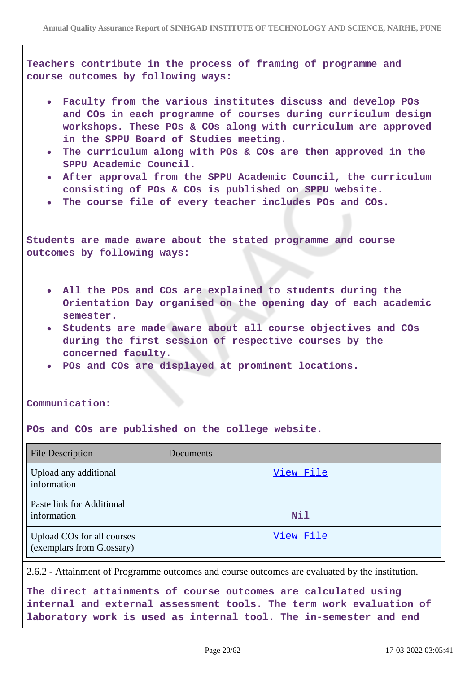**Teachers contribute in the process of framing of programme and course outcomes by following ways:**

- **Faculty from the various institutes discuss and develop POs and COs in each programme of courses during curriculum design workshops. These POs & COs along with curriculum are approved in the SPPU Board of Studies meeting.**
- **The curriculum along with POs & COs are then approved in the SPPU Academic Council.**
- **After approval from the SPPU Academic Council, the curriculum consisting of POs & COs is published on SPPU website.**
- **The course file of every teacher includes POs and COs.**

**Students are made aware about the stated programme and course outcomes by following ways:**

- **All the POs and COs are explained to students during the Orientation Day organised on the opening day of each academic semester.**
- **Students are made aware about all course objectives and COs during the first session of respective courses by the concerned faculty.**
- **POs and COs are displayed at prominent locations.**

**Communication:**

**POs and COs are published on the college website.**

| <b>File Description</b>                                 | Documents |
|---------------------------------------------------------|-----------|
| Upload any additional<br>information                    | View File |
| Paste link for Additional<br>information                | Nil       |
| Upload COs for all courses<br>(exemplars from Glossary) | View File |

2.6.2 - Attainment of Programme outcomes and course outcomes are evaluated by the institution.

**The direct attainments of course outcomes are calculated using internal and external assessment tools. The term work evaluation of laboratory work is used as internal tool. The in-semester and end**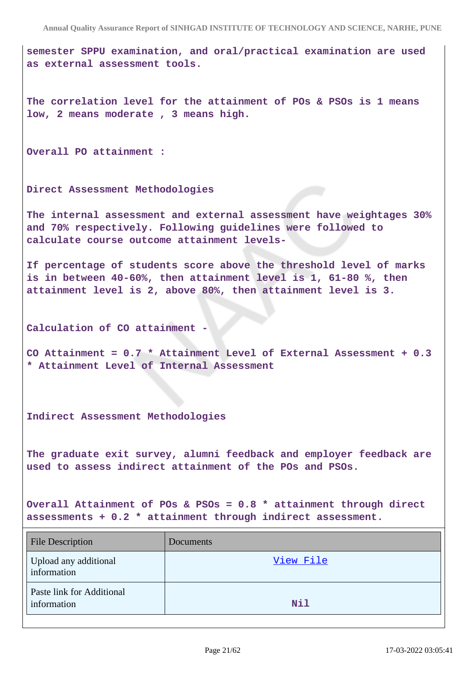**semester SPPU examination, and oral/practical examination are used as external assessment tools.**

**The correlation level for the attainment of POs & PSOs is 1 means low, 2 means moderate , 3 means high.**

```
Overall PO attainment :
```
**Direct Assessment Methodologies**

**The internal assessment and external assessment have weightages 30% and 70% respectively. Following guidelines were followed to calculate course outcome attainment levels-**

**If percentage of students score above the threshold level of marks is in between 40-60%, then attainment level is 1, 61-80 %, then attainment level is 2, above 80%, then attainment level is 3.**

**Calculation of CO attainment -**

**CO Attainment = 0.7 \* Attainment Level of External Assessment + 0.3 \* Attainment Level of Internal Assessment**

**Indirect Assessment Methodologies**

**The graduate exit survey, alumni feedback and employer feedback are used to assess indirect attainment of the POs and PSOs.**

**Overall Attainment of POs & PSOs = 0.8 \* attainment through direct assessments + 0.2 \* attainment through indirect assessment.**

| <b>File Description</b>                  | Documents  |
|------------------------------------------|------------|
| Upload any additional<br>information     | View File  |
| Paste link for Additional<br>information | <b>Nil</b> |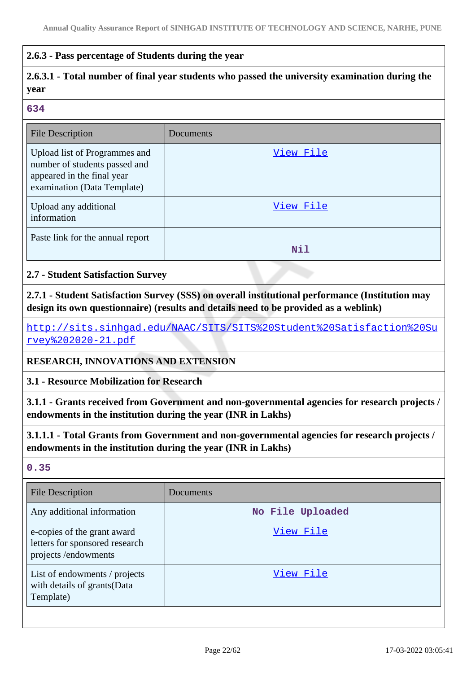### **2.6.3 - Pass percentage of Students during the year**

# **2.6.3.1 - Total number of final year students who passed the university examination during the year**

#### **634**

| <b>File Description</b>                                                                                                     | Documents |
|-----------------------------------------------------------------------------------------------------------------------------|-----------|
| Upload list of Programmes and<br>number of students passed and<br>appeared in the final year<br>examination (Data Template) | View File |
| Upload any additional<br>information                                                                                        | View File |
| Paste link for the annual report                                                                                            | Nil       |

#### **2.7 - Student Satisfaction Survey**

**2.7.1 - Student Satisfaction Survey (SSS) on overall institutional performance (Institution may design its own questionnaire) (results and details need to be provided as a weblink)**

[http://sits.sinhgad.edu/NAAC/SITS/SITS%20Student%20Satisfaction%20Su](http://sits.sinhgad.edu/NAAC/SITS/SITS%20Student%20Satisfaction%20Survey%202020-21.pdf) [rvey%202020-21.pdf](http://sits.sinhgad.edu/NAAC/SITS/SITS%20Student%20Satisfaction%20Survey%202020-21.pdf)

#### **RESEARCH, INNOVATIONS AND EXTENSION**

**3.1 - Resource Mobilization for Research**

**3.1.1 - Grants received from Government and non-governmental agencies for research projects / endowments in the institution during the year (INR in Lakhs)**

**3.1.1.1 - Total Grants from Government and non-governmental agencies for research projects / endowments in the institution during the year (INR in Lakhs)**

#### **0.35**

| File Description                                                                     | Documents        |
|--------------------------------------------------------------------------------------|------------------|
| Any additional information                                                           | No File Uploaded |
| e-copies of the grant award<br>letters for sponsored research<br>projects/endowments | View File        |
| List of endowments / projects<br>with details of grants (Data<br>Template)           | View File        |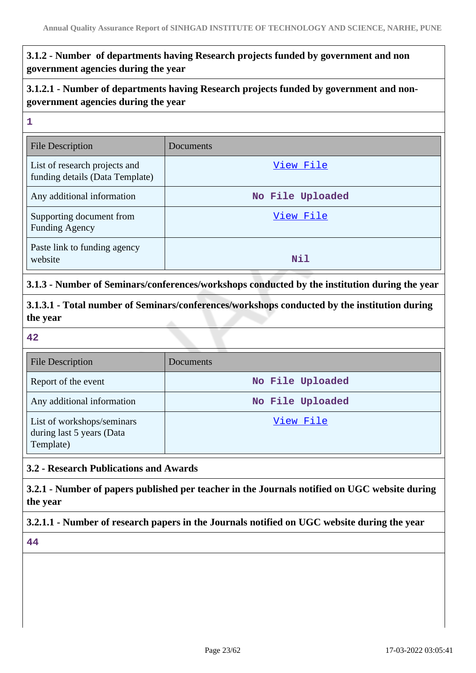### **3.1.2 - Number of departments having Research projects funded by government and non government agencies during the year**

### **3.1.2.1 - Number of departments having Research projects funded by government and nongovernment agencies during the year**

| 1                                                                |                  |
|------------------------------------------------------------------|------------------|
| <b>File Description</b>                                          | Documents        |
| List of research projects and<br>funding details (Data Template) | View File        |
| Any additional information                                       | No File Uploaded |
| Supporting document from<br><b>Funding Agency</b>                | View File        |
| Paste link to funding agency<br>website                          | Nil              |

#### **3.1.3 - Number of Seminars/conferences/workshops conducted by the institution during the year**

**3.1.3.1 - Total number of Seminars/conferences/workshops conducted by the institution during the year**

#### **42**

| <b>File Description</b>                                              | Documents        |
|----------------------------------------------------------------------|------------------|
| Report of the event                                                  | No File Uploaded |
| Any additional information                                           | No File Uploaded |
| List of workshops/seminars<br>during last 5 years (Data<br>Template) | View File        |

#### **3.2 - Research Publications and Awards**

**3.2.1 - Number of papers published per teacher in the Journals notified on UGC website during the year**

### **3.2.1.1 - Number of research papers in the Journals notified on UGC website during the year**

**44**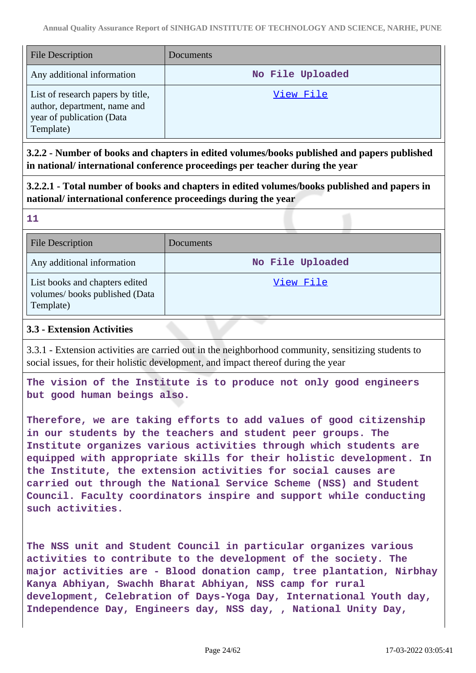| File Description                                                                                            | Documents        |
|-------------------------------------------------------------------------------------------------------------|------------------|
| Any additional information                                                                                  | No File Uploaded |
| List of research papers by title,<br>author, department, name and<br>year of publication (Data<br>Template) | View File        |

**3.2.2 - Number of books and chapters in edited volumes/books published and papers published in national/ international conference proceedings per teacher during the year**

**3.2.2.1 - Total number of books and chapters in edited volumes/books published and papers in national/ international conference proceedings during the year**

**11** File Description Documents Any additional information **No File Uploaded** List books and chapters edited volumes/ books published (Data Template) [View File](https://assessmentonline.naac.gov.in/storage/app/public/aqar/17086/17086_33_73.xlsx?1647509739)

#### **3.3 - Extension Activities**

3.3.1 - Extension activities are carried out in the neighborhood community, sensitizing students to social issues, for their holistic development, and impact thereof during the year

**The vision of the Institute is to produce not only good engineers but good human beings also.**

**Therefore, we are taking efforts to add values of good citizenship in our students by the teachers and student peer groups. The Institute organizes various activities through which students are equipped with appropriate skills for their holistic development. In the Institute, the extension activities for social causes are carried out through the National Service Scheme (NSS) and Student Council. Faculty coordinators inspire and support while conducting such activities.**

**The NSS unit and Student Council in particular organizes various activities to contribute to the development of the society. The major activities are - Blood donation camp, tree plantation, Nirbhay Kanya Abhiyan, Swachh Bharat Abhiyan, NSS camp for rural development, Celebration of Days-Yoga Day, International Youth day, Independence Day, Engineers day, NSS day, , National Unity Day,**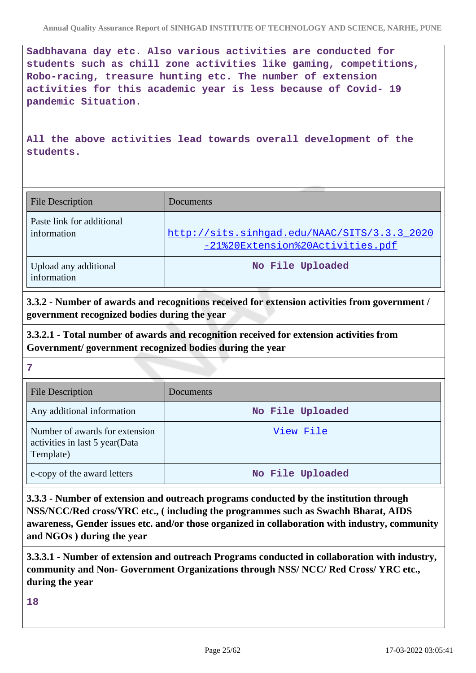**Sadbhavana day etc. Also various activities are conducted for students such as chill zone activities like gaming, competitions, Robo-racing, treasure hunting etc. The number of extension activities for this academic year is less because of Covid- 19 pandemic Situation.**

**All the above activities lead towards overall development of the students.**

| <b>File Description</b>                  | Documents                                                                        |  |  |
|------------------------------------------|----------------------------------------------------------------------------------|--|--|
| Paste link for additional<br>information | http://sits.sinhgad.edu/NAAC/SITS/3.3.3_2020<br>-21%20Extension%20Activities.pdf |  |  |
| Upload any additional<br>information     | No File Uploaded                                                                 |  |  |

**3.3.2 - Number of awards and recognitions received for extension activities from government / government recognized bodies during the year**

**3.3.2.1 - Total number of awards and recognition received for extension activities from Government/ government recognized bodies during the year**

**<sup>7</sup>**

| <b>File Description</b>                                                       | Documents        |
|-------------------------------------------------------------------------------|------------------|
| Any additional information                                                    | No File Uploaded |
| Number of awards for extension<br>activities in last 5 year(Data<br>Template) | View File        |
| e-copy of the award letters                                                   | No File Uploaded |

**3.3.3 - Number of extension and outreach programs conducted by the institution through NSS/NCC/Red cross/YRC etc., ( including the programmes such as Swachh Bharat, AIDS awareness, Gender issues etc. and/or those organized in collaboration with industry, community and NGOs ) during the year**

**3.3.3.1 - Number of extension and outreach Programs conducted in collaboration with industry, community and Non- Government Organizations through NSS/ NCC/ Red Cross/ YRC etc., during the year**

**18**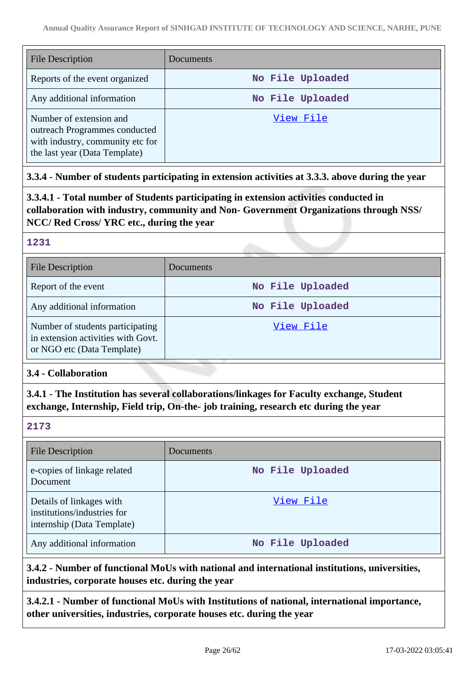| <b>File Description</b>                                                                                                       | Documents        |
|-------------------------------------------------------------------------------------------------------------------------------|------------------|
| Reports of the event organized                                                                                                | No File Uploaded |
| Any additional information                                                                                                    | No File Uploaded |
| Number of extension and<br>outreach Programmes conducted<br>with industry, community etc for<br>the last year (Data Template) | View File        |

### **3.3.4 - Number of students participating in extension activities at 3.3.3. above during the year**

**3.3.4.1 - Total number of Students participating in extension activities conducted in collaboration with industry, community and Non- Government Organizations through NSS/ NCC/ Red Cross/ YRC etc., during the year**

#### **1231**

| <b>File Description</b>                                                                              | Documents        |
|------------------------------------------------------------------------------------------------------|------------------|
| Report of the event                                                                                  | No File Uploaded |
| Any additional information                                                                           | No File Uploaded |
| Number of students participating<br>in extension activities with Govt.<br>or NGO etc (Data Template) | View File        |

#### **3.4 - Collaboration**

**3.4.1 - The Institution has several collaborations/linkages for Faculty exchange, Student exchange, Internship, Field trip, On-the- job training, research etc during the year**

#### **2173**

| File Description                                                                      | Documents        |
|---------------------------------------------------------------------------------------|------------------|
| e-copies of linkage related<br>Document                                               | No File Uploaded |
| Details of linkages with<br>institutions/industries for<br>internship (Data Template) | View File        |
| Any additional information                                                            | No File Uploaded |

**3.4.2 - Number of functional MoUs with national and international institutions, universities, industries, corporate houses etc. during the year**

**3.4.2.1 - Number of functional MoUs with Institutions of national, international importance, other universities, industries, corporate houses etc. during the year**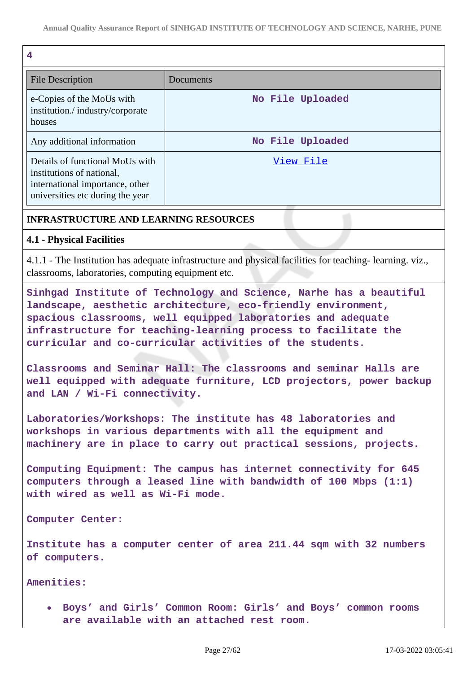| 4                                                                                                                                   |                  |
|-------------------------------------------------------------------------------------------------------------------------------------|------------------|
| File Description                                                                                                                    | Documents        |
| e-Copies of the MoUs with<br>institution./industry/corporate<br>houses                                                              | No File Uploaded |
| Any additional information                                                                                                          | No File Uploaded |
| Details of functional MoUs with<br>institutions of national,<br>international importance, other<br>universities etc during the year | View File        |

### **INFRASTRUCTURE AND LEARNING RESOURCES**

#### **4.1 - Physical Facilities**

4.1.1 - The Institution has adequate infrastructure and physical facilities for teaching- learning. viz., classrooms, laboratories, computing equipment etc.

**Sinhgad Institute of Technology and Science, Narhe has a beautiful landscape, aesthetic architecture, eco-friendly environment, spacious classrooms, well equipped laboratories and adequate infrastructure for teaching-learning process to facilitate the curricular and co-curricular activities of the students.**

**Classrooms and Seminar Hall: The classrooms and seminar Halls are well equipped with adequate furniture, LCD projectors, power backup and LAN / Wi-Fi connectivity.**

**Laboratories/Workshops: The institute has 48 laboratories and workshops in various departments with all the equipment and machinery are in place to carry out practical sessions, projects.**

**Computing Equipment: The campus has internet connectivity for 645 computers through a leased line with bandwidth of 100 Mbps (1:1) with wired as well as Wi-Fi mode.**

**Computer Center:**

**Institute has a computer center of area 211.44 sqm with 32 numbers of computers.**

**Amenities:**

**Boys' and Girls' Common Room: Girls' and Boys' common rooms are available with an attached rest room.**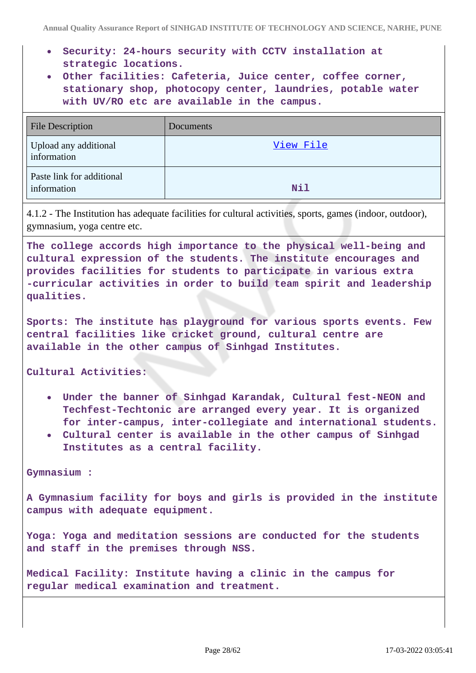- **Security: 24-hours security with CCTV installation at strategic locations.**
- **Other facilities: Cafeteria, Juice center, coffee corner, stationary shop, photocopy center, laundries, potable water with UV/RO etc are available in the campus.**

| <b>File Description</b>                  | Documents |
|------------------------------------------|-----------|
| Upload any additional<br>information     | View File |
| Paste link for additional<br>information | Nil       |

4.1.2 - The Institution has adequate facilities for cultural activities, sports, games (indoor, outdoor), gymnasium, yoga centre etc.

**The college accords high importance to the physical well-being and cultural expression of the students. The institute encourages and provides facilities for students to participate in various extra -curricular activities in order to build team spirit and leadership qualities.**

**Sports: The institute has playground for various sports events. Few central facilities like cricket ground, cultural centre are available in the other campus of Sinhgad Institutes.**

**Cultural Activities:**

- **Under the banner of Sinhgad Karandak, Cultural fest-NEON and Techfest-Techtonic are arranged every year. It is organized for inter-campus, inter-collegiate and international students.**
- **Cultural center is available in the other campus of Sinhgad Institutes as a central facility.**

**Gymnasium :**

**A Gymnasium facility for boys and girls is provided in the institute campus with adequate equipment.**

**Yoga: Yoga and meditation sessions are conducted for the students and staff in the premises through NSS.**

**Medical Facility: Institute having a clinic in the campus for regular medical examination and treatment.**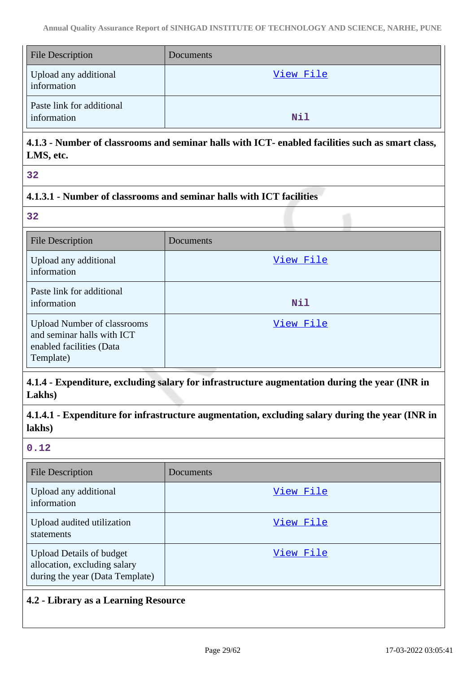| <b>File Description</b>                  | Documents  |
|------------------------------------------|------------|
| Upload any additional<br>information     | View File  |
| Paste link for additional<br>information | <b>Nil</b> |

### **4.1.3 - Number of classrooms and seminar halls with ICT- enabled facilities such as smart class, LMS, etc.**

**32**

### **4.1.3.1 - Number of classrooms and seminar halls with ICT facilities**

**32**

| <b>File Description</b>                                                                                   | Documents  |
|-----------------------------------------------------------------------------------------------------------|------------|
| Upload any additional<br>information                                                                      | View File  |
| Paste link for additional<br>information                                                                  | <b>Nil</b> |
| <b>Upload Number of classrooms</b><br>and seminar halls with ICT<br>enabled facilities (Data<br>Template) | View File  |

### **4.1.4 - Expenditure, excluding salary for infrastructure augmentation during the year (INR in Lakhs)**

**4.1.4.1 - Expenditure for infrastructure augmentation, excluding salary during the year (INR in lakhs)**

**0.12**

| <b>File Description</b>                                                                            | Documents |
|----------------------------------------------------------------------------------------------------|-----------|
| Upload any additional<br>information                                                               | View File |
| Upload audited utilization<br>statements                                                           | View File |
| <b>Upload Details of budget</b><br>allocation, excluding salary<br>during the year (Data Template) | View File |

# **4.2 - Library as a Learning Resource**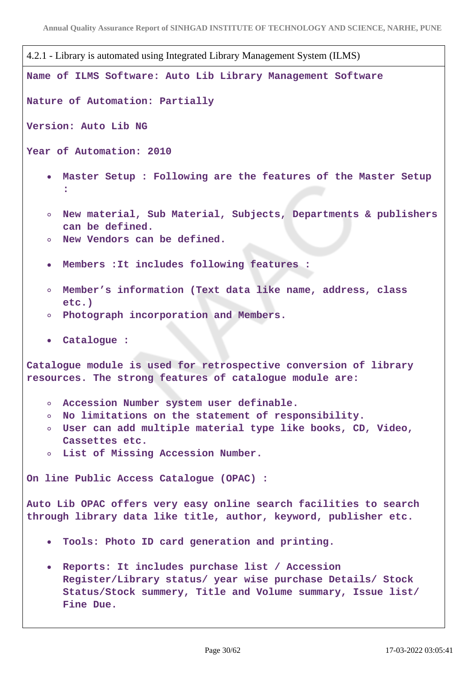```
4.2.1 - Library is automated using Integrated Library Management System (ILMS)
Name of ILMS Software: Auto Lib Library Management Software
Nature of Automation: Partially
Version: Auto Lib NG
Year of Automation: 2010
   Master Setup : Following are the features of the Master Setup
      :
   New material, Sub Material, Subjects, Departments & publishers
     can be defined.
   New Vendors can be defined.
   Members :It includes following features :
   Member's information (Text data like name, address, class
      etc.)
   Photograph incorporation and Members.
   Catalogue :
Catalogue module is used for retrospective conversion of library
resources. The strong features of catalogue module are:
     Accession Number system user definable.
   No limitations on the statement of responsibility.
   User can add multiple material type like books, CD, Video,
     Cassettes etc.
   List of Missing Accession Number.
On line Public Access Catalogue (OPAC) :
Auto Lib OPAC offers very easy online search facilities to search
through library data like title, author, keyword, publisher etc.
     Tools: Photo ID card generation and printing.
   \bulletReports: It includes purchase list / Accession
      Register/Library status/ year wise purchase Details/ Stock
      Status/Stock summery, Title and Volume summary, Issue list/
      Fine Due.
```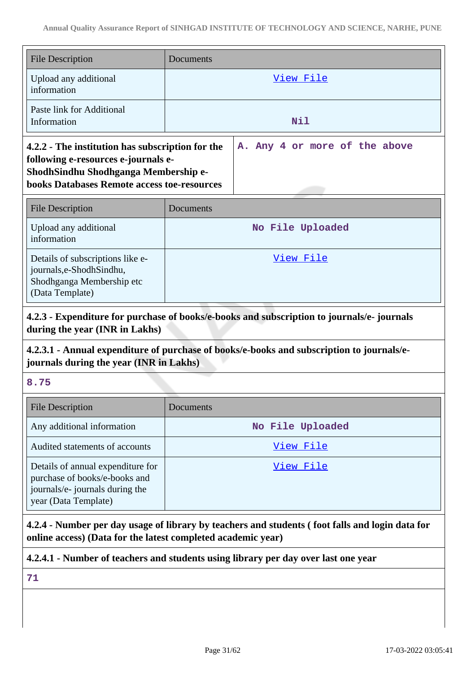| <b>File Description</b>                                                                                                                                                               | Documents        |                                                                                            |
|---------------------------------------------------------------------------------------------------------------------------------------------------------------------------------------|------------------|--------------------------------------------------------------------------------------------|
| Upload any additional<br>information                                                                                                                                                  | <u>View File</u> |                                                                                            |
| Paste link for Additional<br>Information                                                                                                                                              | Nil              |                                                                                            |
| 4.2.2 - The institution has subscription for the<br>following e-resources e-journals e-<br>ShodhSindhu Shodhganga Membership e-<br><b>books Databases Remote access toe-resources</b> |                  | A. Any 4 or more of the above                                                              |
| <b>File Description</b>                                                                                                                                                               | Documents        |                                                                                            |
| Upload any additional<br>information                                                                                                                                                  | No File Uploaded |                                                                                            |
| Details of subscriptions like e-<br>journals,e-ShodhSindhu,<br>Shodhganga Membership etc<br>(Data Template)                                                                           |                  | View File                                                                                  |
| during the year (INR in Lakhs)                                                                                                                                                        |                  | 4.2.3 - Expenditure for purchase of books/e-books and subscription to journals/e- journals |

### **4.2.3.1 - Annual expenditure of purchase of books/e-books and subscription to journals/ejournals during the year (INR in Lakhs)**

### **8.75**

| <b>File Description</b>                                                                                                       | <b>Documents</b> |
|-------------------------------------------------------------------------------------------------------------------------------|------------------|
| Any additional information                                                                                                    | No File Uploaded |
| Audited statements of accounts                                                                                                | View File        |
| Details of annual expenditure for<br>purchase of books/e-books and<br>journals/e- journals during the<br>year (Data Template) | View File        |

**4.2.4 - Number per day usage of library by teachers and students ( foot falls and login data for online access) (Data for the latest completed academic year)**

### **4.2.4.1 - Number of teachers and students using library per day over last one year**

**71**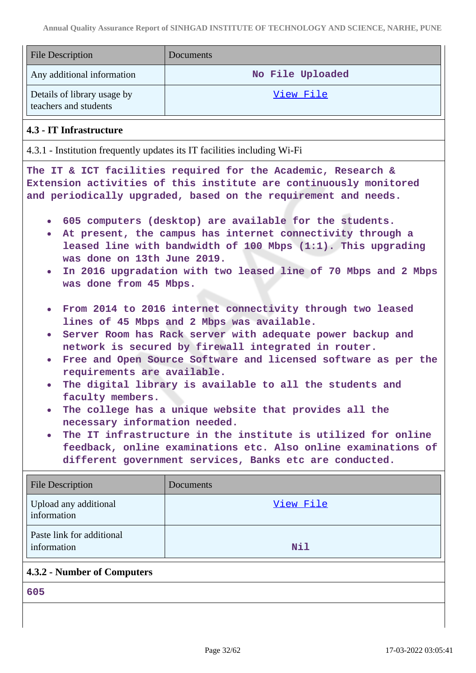| <b>File Description</b>                                                                                                                                                                                                                                                                                                                                                                                                                                                                                                                                                                                                                                                                                                                                                                                                                                                                                                                                                                                                                                                             | Documents                                                                |  |
|-------------------------------------------------------------------------------------------------------------------------------------------------------------------------------------------------------------------------------------------------------------------------------------------------------------------------------------------------------------------------------------------------------------------------------------------------------------------------------------------------------------------------------------------------------------------------------------------------------------------------------------------------------------------------------------------------------------------------------------------------------------------------------------------------------------------------------------------------------------------------------------------------------------------------------------------------------------------------------------------------------------------------------------------------------------------------------------|--------------------------------------------------------------------------|--|
| Any additional information                                                                                                                                                                                                                                                                                                                                                                                                                                                                                                                                                                                                                                                                                                                                                                                                                                                                                                                                                                                                                                                          | No File Uploaded                                                         |  |
| Details of library usage by<br>teachers and students                                                                                                                                                                                                                                                                                                                                                                                                                                                                                                                                                                                                                                                                                                                                                                                                                                                                                                                                                                                                                                | View File                                                                |  |
| 4.3 - IT Infrastructure                                                                                                                                                                                                                                                                                                                                                                                                                                                                                                                                                                                                                                                                                                                                                                                                                                                                                                                                                                                                                                                             |                                                                          |  |
|                                                                                                                                                                                                                                                                                                                                                                                                                                                                                                                                                                                                                                                                                                                                                                                                                                                                                                                                                                                                                                                                                     | 4.3.1 - Institution frequently updates its IT facilities including Wi-Fi |  |
| The IT & ICT facilities required for the Academic, Research &<br>Extension activities of this institute are continuously monitored<br>and periodically upgraded, based on the requirement and needs.<br>605 computers (desktop) are available for the students.<br>$\bullet$<br>At present, the campus has internet connectivity through a<br>$\bullet$<br>leased line with bandwidth of 100 Mbps (1:1). This upgrading<br>was done on 13th June 2019.<br>In 2016 upgradation with two leased line of 70 Mbps and 2 Mbps<br>$\bullet$<br>was done from 45 Mbps.<br>From 2014 to 2016 internet connectivity through two leased<br>$\bullet$<br>lines of 45 Mbps and 2 Mbps was available.<br>Server Room has Rack server with adequate power backup and<br>$\bullet$<br>network is secured by firewall integrated in router.<br>Free and Open Source Software and licensed software as per the<br>$\bullet$<br>requirements are available.<br>The digital library is available to all the students and<br>faculty members.<br>The college has a unique website that provides all the |                                                                          |  |
| necessary information needed.                                                                                                                                                                                                                                                                                                                                                                                                                                                                                                                                                                                                                                                                                                                                                                                                                                                                                                                                                                                                                                                       |                                                                          |  |
| The IT infrastructure in the institute is utilized for online<br>$\bullet$<br>feedback, online examinations etc. Also online examinations of<br>different government services, Banks etc are conducted.                                                                                                                                                                                                                                                                                                                                                                                                                                                                                                                                                                                                                                                                                                                                                                                                                                                                             |                                                                          |  |
| <b>File Description</b>                                                                                                                                                                                                                                                                                                                                                                                                                                                                                                                                                                                                                                                                                                                                                                                                                                                                                                                                                                                                                                                             | Documents                                                                |  |
| Upload any additional<br>information                                                                                                                                                                                                                                                                                                                                                                                                                                                                                                                                                                                                                                                                                                                                                                                                                                                                                                                                                                                                                                                | <u>View File</u>                                                         |  |
| Paste link for additional<br>information                                                                                                                                                                                                                                                                                                                                                                                                                                                                                                                                                                                                                                                                                                                                                                                                                                                                                                                                                                                                                                            | Nil                                                                      |  |
| 4.3.2 - Number of Computers                                                                                                                                                                                                                                                                                                                                                                                                                                                                                                                                                                                                                                                                                                                                                                                                                                                                                                                                                                                                                                                         |                                                                          |  |
| 605                                                                                                                                                                                                                                                                                                                                                                                                                                                                                                                                                                                                                                                                                                                                                                                                                                                                                                                                                                                                                                                                                 |                                                                          |  |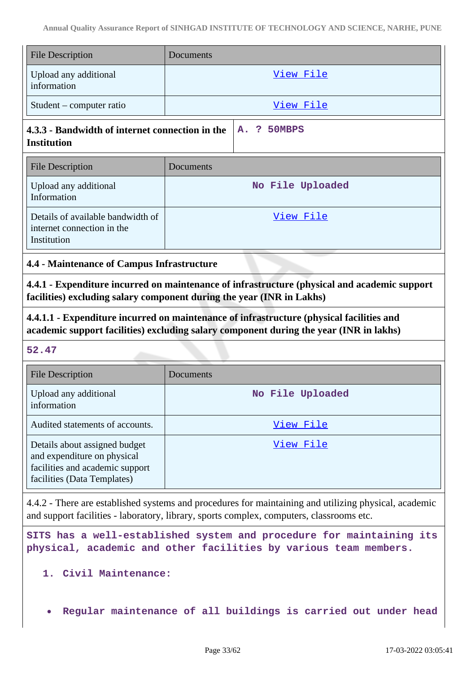| <b>File Description</b>                                               | Documents                                                                                                                                                                          |
|-----------------------------------------------------------------------|------------------------------------------------------------------------------------------------------------------------------------------------------------------------------------|
| Upload any additional                                                 | View File                                                                                                                                                                          |
| information                                                           |                                                                                                                                                                                    |
| Student – computer ratio                                              | View File                                                                                                                                                                          |
| 4.3.3 - Bandwidth of internet connection in the<br><b>Institution</b> | A.<br>$\mathbf{P}$<br>50MBPS                                                                                                                                                       |
|                                                                       |                                                                                                                                                                                    |
| <b>File Description</b>                                               | Documents                                                                                                                                                                          |
| Upload any additional                                                 | No File Uploaded                                                                                                                                                                   |
| Information                                                           |                                                                                                                                                                                    |
| Details of available bandwidth of                                     | View File                                                                                                                                                                          |
| internet connection in the<br>Institution                             |                                                                                                                                                                                    |
|                                                                       |                                                                                                                                                                                    |
| 4.4 - Maintenance of Campus Infrastructure                            |                                                                                                                                                                                    |
|                                                                       | 4.4.1 - Expenditure incurred on maintenance of infrastructure (physical and academic support<br>facilities) excluding salary component during the year (INR in Lakhs)              |
|                                                                       | 4.4.1.1 - Expenditure incurred on maintenance of infrastructure (physical facilities and<br>academic support facilities) excluding salary component during the year (INR in lakhs) |
| 52.47                                                                 |                                                                                                                                                                                    |
| <b>File Description</b>                                               | Documents                                                                                                                                                                          |
| Upload any additional<br>information                                  | No File Uploaded                                                                                                                                                                   |
|                                                                       |                                                                                                                                                                                    |

| Audited statements of accounts.                                                                                                | View File |
|--------------------------------------------------------------------------------------------------------------------------------|-----------|
| Details about assigned budget<br>and expenditure on physical<br>facilities and academic support<br>facilities (Data Templates) | View File |

4.4.2 - There are established systems and procedures for maintaining and utilizing physical, academic and support facilities - laboratory, library, sports complex, computers, classrooms etc.

**SITS has a well-established system and procedure for maintaining its physical, academic and other facilities by various team members.**

#### **1. Civil Maintenance:**

**Regular maintenance of all buildings is carried out under head**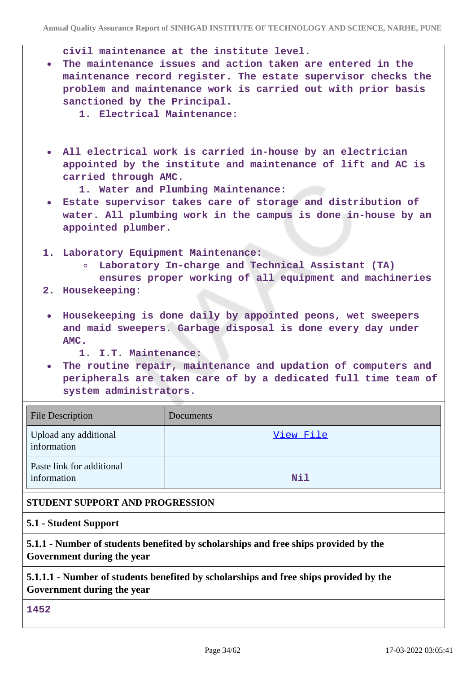**Annual Quality Assurance Report of SINHGAD INSTITUTE OF TECHNOLOGY AND SCIENCE, NARHE, PUNE**

**civil maintenance at the institute level.**

**The maintenance issues and action taken are entered in the**  $\bullet$ **maintenance record register. The estate supervisor checks the problem and maintenance work is carried out with prior basis sanctioned by the Principal.**

**1. Electrical Maintenance:**

- **All electrical work is carried in-house by an electrician appointed by the institute and maintenance of lift and AC is carried through AMC.**
	- **1. Water and Plumbing Maintenance:**
- **Estate supervisor takes care of storage and distribution of**  $\bullet$ **water. All plumbing work in the campus is done in-house by an appointed plumber.**
- **1. Laboratory Equipment Maintenance:**
	- $\circ$ **Laboratory In-charge and Technical Assistant (TA)**
	- **ensures proper working of all equipment and machineries**
- **2. Housekeeping:**
- **Housekeeping is done daily by appointed peons, wet sweepers**  $\bullet$ **and maid sweepers. Garbage disposal is done every day under AMC.**

**1. I.T. Maintenance:**

**The routine repair, maintenance and updation of computers and peripherals are taken care of by a dedicated full time team of system administrators.**

| <b>File Description</b>                  | Documents  |
|------------------------------------------|------------|
| Upload any additional<br>information     | View File  |
| Paste link for additional<br>information | <b>Nil</b> |

#### **STUDENT SUPPORT AND PROGRESSION**

**5.1 - Student Support**

**5.1.1 - Number of students benefited by scholarships and free ships provided by the Government during the year**

**5.1.1.1 - Number of students benefited by scholarships and free ships provided by the Government during the year**

**1452**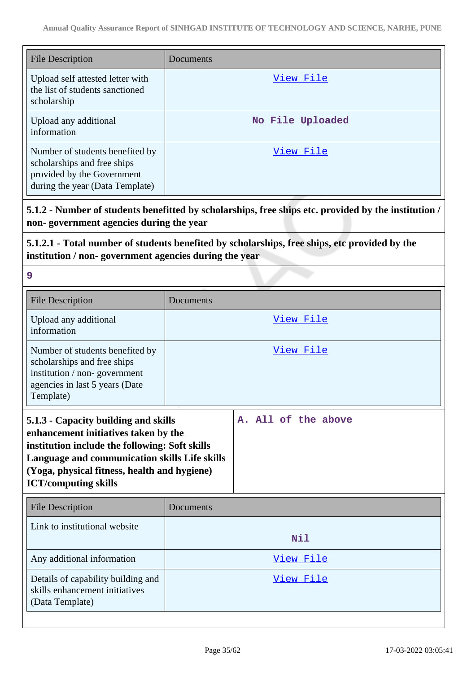| File Description                                                                                                                | Documents        |
|---------------------------------------------------------------------------------------------------------------------------------|------------------|
| Upload self attested letter with<br>the list of students sanctioned<br>scholarship                                              | View File        |
| Upload any additional<br>information                                                                                            | No File Uploaded |
| Number of students benefited by<br>scholarships and free ships<br>provided by the Government<br>during the year (Data Template) | View File        |

**5.1.2 - Number of students benefitted by scholarships, free ships etc. provided by the institution / non- government agencies during the year**

### **5.1.2.1 - Total number of students benefited by scholarships, free ships, etc provided by the institution / non- government agencies during the year**

| 9                                                                                                                                                                                                                                                              |                     |
|----------------------------------------------------------------------------------------------------------------------------------------------------------------------------------------------------------------------------------------------------------------|---------------------|
| <b>File Description</b>                                                                                                                                                                                                                                        | Documents           |
| Upload any additional<br>information                                                                                                                                                                                                                           | View File           |
| Number of students benefited by<br>scholarships and free ships<br>institution / non-government<br>agencies in last 5 years (Date<br>Template)                                                                                                                  | View File           |
| 5.1.3 - Capacity building and skills<br>enhancement initiatives taken by the<br>institution include the following: Soft skills<br>Language and communication skills Life skills<br>(Yoga, physical fitness, health and hygiene)<br><b>ICT/computing skills</b> | A. All of the above |
| <b>File Description</b>                                                                                                                                                                                                                                        | Documents           |
| Link to institutional website                                                                                                                                                                                                                                  | <b>Nil</b>          |
|                                                                                                                                                                                                                                                                |                     |
| Any additional information                                                                                                                                                                                                                                     | View File           |
|                                                                                                                                                                                                                                                                |                     |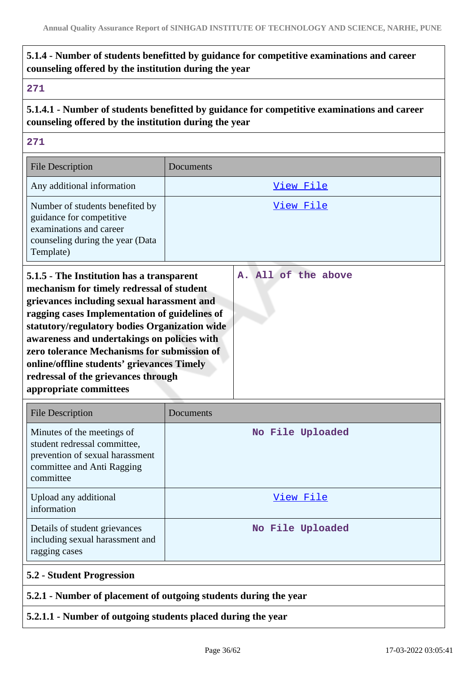### **5.1.4 - Number of students benefitted by guidance for competitive examinations and career counseling offered by the institution during the year**

#### **271**

**5.1.4.1 - Number of students benefitted by guidance for competitive examinations and career counseling offered by the institution during the year**

**271**

| <b>File Description</b>                                                                                                                                                                                                                                                                                                                                                                                                                                                                                                                                                                                                                                                                                                                                                                                                                                                          | Documents           |
|----------------------------------------------------------------------------------------------------------------------------------------------------------------------------------------------------------------------------------------------------------------------------------------------------------------------------------------------------------------------------------------------------------------------------------------------------------------------------------------------------------------------------------------------------------------------------------------------------------------------------------------------------------------------------------------------------------------------------------------------------------------------------------------------------------------------------------------------------------------------------------|---------------------|
| Any additional information                                                                                                                                                                                                                                                                                                                                                                                                                                                                                                                                                                                                                                                                                                                                                                                                                                                       | View File           |
| Number of students benefited by<br>guidance for competitive<br>examinations and career<br>counseling during the year (Data<br>Template)                                                                                                                                                                                                                                                                                                                                                                                                                                                                                                                                                                                                                                                                                                                                          | View File           |
| 5.1.5 - The Institution has a transparent<br>mechanism for timely redressal of student<br>grievances including sexual harassment and<br>ragging cases Implementation of guidelines of<br>statutory/regulatory bodies Organization wide<br>awareness and undertakings on policies with<br>zero tolerance Mechanisms for submission of<br>online/offline students' grievances Timely<br>$\blacksquare$ $\blacksquare$ $\blacksquare$ $\blacksquare$ $\blacksquare$ $\blacksquare$ $\blacksquare$ $\blacksquare$ $\blacksquare$ $\blacksquare$ $\blacksquare$ $\blacksquare$ $\blacksquare$ $\blacksquare$ $\blacksquare$ $\blacksquare$ $\blacksquare$ $\blacksquare$ $\blacksquare$ $\blacksquare$ $\blacksquare$ $\blacksquare$ $\blacksquare$ $\blacksquare$ $\blacksquare$ $\blacksquare$ $\blacksquare$ $\blacksquare$ $\blacksquare$ $\blacksquare$ $\blacksquare$ $\blacks$ | A. All of the above |

| redressal of the grievances through<br>appropriate committees                                                                            |                  |
|------------------------------------------------------------------------------------------------------------------------------------------|------------------|
| <b>File Description</b>                                                                                                                  | Documents        |
| Minutes of the meetings of<br>student redressal committee,<br>prevention of sexual harassment<br>committee and Anti Ragging<br>committee | No File Uploaded |
| Upload any additional<br>information                                                                                                     | View File        |
| Details of student grievances<br>including sexual harassment and<br>ragging cases                                                        | No File Uploaded |
| <b>5.2 - Student Progression</b>                                                                                                         |                  |
| 5.2.1 - Number of placement of outgoing students during the year                                                                         |                  |

# **5.2.1.1 - Number of outgoing students placed during the year**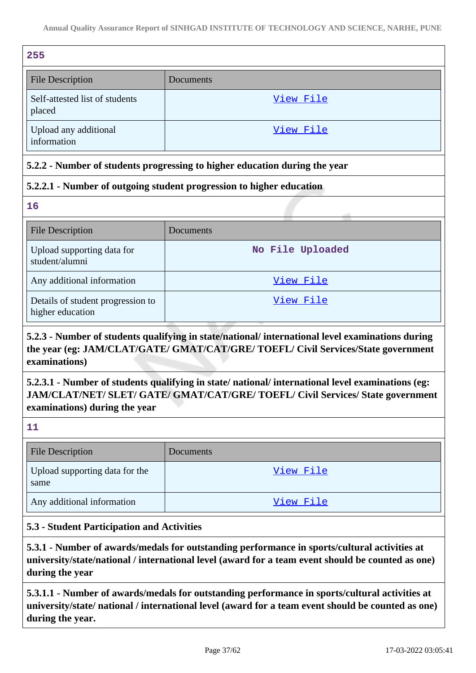| 255                                      |           |
|------------------------------------------|-----------|
| <b>File Description</b>                  | Documents |
| Self-attested list of students<br>placed | View File |
| Upload any additional<br>information     | View File |

#### **5.2.2 - Number of students progressing to higher education during the year**

#### **5.2.2.1 - Number of outgoing student progression to higher education**

| TО                                                    |                  |
|-------------------------------------------------------|------------------|
| <b>File Description</b>                               | Documents        |
| Upload supporting data for<br>student/alumni          | No File Uploaded |
| Any additional information                            | View File        |
| Details of student progression to<br>higher education | View File        |

### **5.2.3 - Number of students qualifying in state/national/ international level examinations during the year (eg: JAM/CLAT/GATE/ GMAT/CAT/GRE/ TOEFL/ Civil Services/State government examinations)**

**5.2.3.1 - Number of students qualifying in state/ national/ international level examinations (eg: JAM/CLAT/NET/ SLET/ GATE/ GMAT/CAT/GRE/ TOEFL/ Civil Services/ State government examinations) during the year**

**11**

**16**

| <b>File Description</b>                | Documents |
|----------------------------------------|-----------|
| Upload supporting data for the<br>same | View File |
| Any additional information             | View File |

#### **5.3 - Student Participation and Activities**

**5.3.1 - Number of awards/medals for outstanding performance in sports/cultural activities at university/state/national / international level (award for a team event should be counted as one) during the year**

**5.3.1.1 - Number of awards/medals for outstanding performance in sports/cultural activities at university/state/ national / international level (award for a team event should be counted as one) during the year.**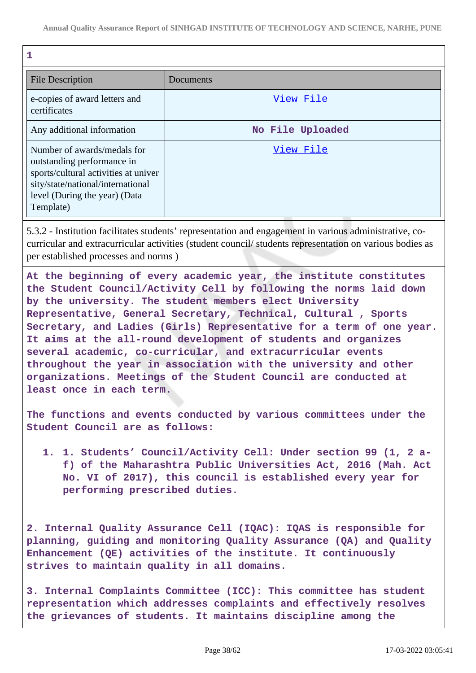| <b>File Description</b>                                                                                                                                                              | Documents        |
|--------------------------------------------------------------------------------------------------------------------------------------------------------------------------------------|------------------|
| e-copies of award letters and<br>certificates                                                                                                                                        | View File        |
| Any additional information                                                                                                                                                           | No File Uploaded |
| Number of awards/medals for<br>outstanding performance in<br>sports/cultural activities at univer<br>sity/state/national/international<br>level (During the year) (Data<br>Template) | View File        |

5.3.2 - Institution facilitates students' representation and engagement in various administrative, cocurricular and extracurricular activities (student council/ students representation on various bodies as per established processes and norms )

**At the beginning of every academic year, the institute constitutes the Student Council/Activity Cell by following the norms laid down by the university. The student members elect University Representative, General Secretary, Technical, Cultural , Sports Secretary, and Ladies (Girls) Representative for a term of one year. It aims at the all-round development of students and organizes several academic, co-curricular, and extracurricular events throughout the year in association with the university and other organizations. Meetings of the Student Council are conducted at least once in each term.**

**The functions and events conducted by various committees under the Student Council are as follows:**

**1. 1. Students' Council/Activity Cell: Under section 99 (1, 2 af) of the Maharashtra Public Universities Act, 2016 (Mah. Act No. VI of 2017), this council is established every year for performing prescribed duties.**

**2. Internal Quality Assurance Cell (IQAC): IQAS is responsible for planning, guiding and monitoring Quality Assurance (QA) and Quality Enhancement (QE) activities of the institute. It continuously strives to maintain quality in all domains.**

**3. Internal Complaints Committee (ICC): This committee has student representation which addresses complaints and effectively resolves the grievances of students. It maintains discipline among the**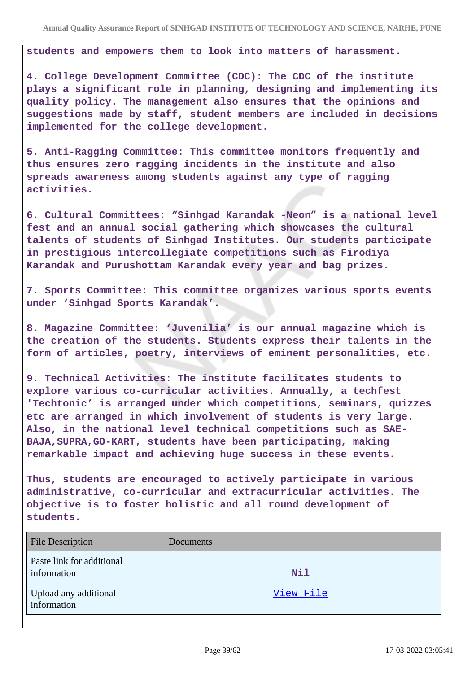**students and empowers them to look into matters of harassment.**

**4. College Development Committee (CDC): The CDC of the institute plays a significant role in planning, designing and implementing its quality policy. The management also ensures that the opinions and suggestions made by staff, student members are included in decisions implemented for the college development.**

**5. Anti-Ragging Committee: This committee monitors frequently and thus ensures zero ragging incidents in the institute and also spreads awareness among students against any type of ragging activities.**

**6. Cultural Committees: "Sinhgad Karandak -Neon" is a national level fest and an annual social gathering which showcases the cultural talents of students of Sinhgad Institutes. Our students participate in prestigious intercollegiate competitions such as Firodiya Karandak and Purushottam Karandak every year and bag prizes.**

**7. Sports Committee: This committee organizes various sports events under 'Sinhgad Sports Karandak'.**

**8. Magazine Committee: 'Juvenilia' is our annual magazine which is the creation of the students. Students express their talents in the form of articles, poetry, interviews of eminent personalities, etc.**

**9. Technical Activities: The institute facilitates students to explore various co-curricular activities. Annually, a techfest 'Techtonic' is arranged under which competitions, seminars, quizzes etc are arranged in which involvement of students is very large. Also, in the national level technical competitions such as SAE-BAJA,SUPRA,GO-KART, students have been participating, making remarkable impact and achieving huge success in these events.**

**Thus, students are encouraged to actively participate in various administrative, co-curricular and extracurricular activities. The objective is to foster holistic and all round development of students.**

| <b>File Description</b>                  | Documents |
|------------------------------------------|-----------|
| Paste link for additional<br>information | Nil       |
| Upload any additional<br>information     | View File |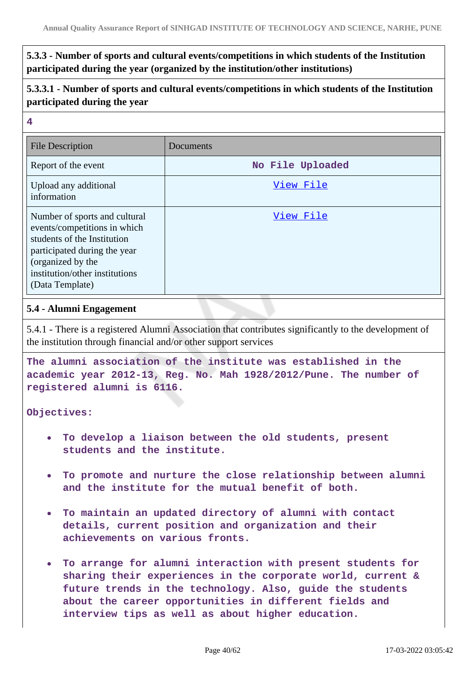**5.3.3 - Number of sports and cultural events/competitions in which students of the Institution participated during the year (organized by the institution/other institutions)**

**5.3.3.1 - Number of sports and cultural events/competitions in which students of the Institution participated during the year**

| <b>File Description</b>                                                                                                                                                                                | Documents        |
|--------------------------------------------------------------------------------------------------------------------------------------------------------------------------------------------------------|------------------|
| Report of the event                                                                                                                                                                                    | No File Uploaded |
| Upload any additional<br>information                                                                                                                                                                   | View File        |
| Number of sports and cultural<br>events/competitions in which<br>students of the Institution<br>participated during the year<br>(organized by the<br>institution/other institutions<br>(Data Template) | View File        |

### **5.4 - Alumni Engagement**

5.4.1 - There is a registered Alumni Association that contributes significantly to the development of the institution through financial and/or other support services

**The alumni association of the institute was established in the academic year 2012-13, Reg. No. Mah 1928/2012/Pune. The number of registered alumni is 6116.**

**Objectives:**

- **To develop a liaison between the old students, present students and the institute.**
- **To promote and nurture the close relationship between alumni and the institute for the mutual benefit of both.**
- **To maintain an updated directory of alumni with contact details, current position and organization and their achievements on various fronts.**
- **To arrange for alumni interaction with present students for sharing their experiences in the corporate world, current & future trends in the technology. Also, guide the students about the career opportunities in different fields and interview tips as well as about higher education.**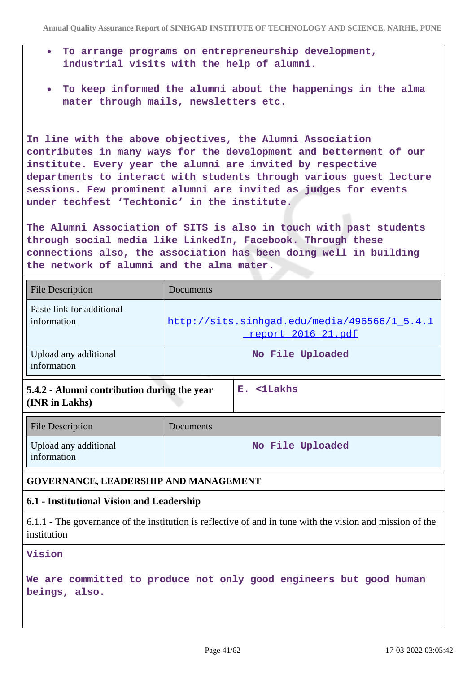- **To arrange programs on entrepreneurship development, industrial visits with the help of alumni.**
- **To keep informed the alumni about the happenings in the alma mater through mails, newsletters etc.**

**In line with the above objectives, the Alumni Association contributes in many ways for the development and betterment of our institute. Every year the alumni are invited by respective departments to interact with students through various guest lecture sessions. Few prominent alumni are invited as judges for events under techfest 'Techtonic' in the institute.**

**The Alumni Association of SITS is also in touch with past students through social media like LinkedIn, Facebook. Through these connections also, the association has been doing well in building the network of alumni and the alma mater.**

| <b>File Description</b>                  | Documents                                                                 |
|------------------------------------------|---------------------------------------------------------------------------|
| Paste link for additional<br>information | http://sits.sinhqad.edu/media/496566/1 5.4.1<br><u>report 2016 21.pdf</u> |
| Upload any additional<br>information     | No File Uploaded                                                          |

| 5.4.2 - Alumni contribution during the year | E. <1Lakhs |
|---------------------------------------------|------------|
| (INR in Lakhs)                              |            |

| <b>File Description</b>              | Documents        |
|--------------------------------------|------------------|
| Upload any additional<br>information | No File Uploaded |

#### **GOVERNANCE, LEADERSHIP AND MANAGEMENT**

#### **6.1 - Institutional Vision and Leadership**

6.1.1 - The governance of the institution is reflective of and in tune with the vision and mission of the institution

#### **Vision**

**We are committed to produce not only good engineers but good human beings, also.**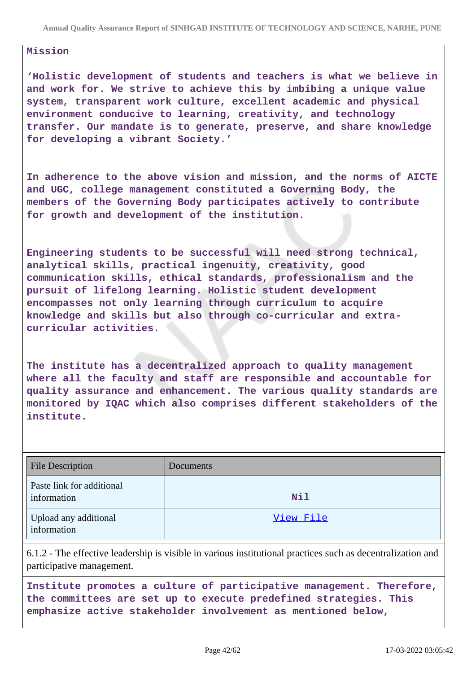**Annual Quality Assurance Report of SINHGAD INSTITUTE OF TECHNOLOGY AND SCIENCE, NARHE, PUNE**

#### **Mission**

**'Holistic development of students and teachers is what we believe in and work for. We strive to achieve this by imbibing a unique value system, transparent work culture, excellent academic and physical environment conducive to learning, creativity, and technology transfer. Our mandate is to generate, preserve, and share knowledge for developing a vibrant Society.'**

**In adherence to the above vision and mission, and the norms of AICTE and UGC, college management constituted a Governing Body, the members of the Governing Body participates actively to contribute for growth and development of the institution.**

**Engineering students to be successful will need strong technical, analytical skills, practical ingenuity, creativity, good communication skills, ethical standards, professionalism and the pursuit of lifelong learning. Holistic student development encompasses not only learning through curriculum to acquire knowledge and skills but also through co-curricular and extracurricular activities.**

**The institute has a decentralized approach to quality management where all the faculty and staff are responsible and accountable for quality assurance and enhancement. The various quality standards are monitored by IQAC which also comprises different stakeholders of the institute.**

| <b>File Description</b>                  | Documents |
|------------------------------------------|-----------|
| Paste link for additional<br>information | Nil       |
| Upload any additional<br>information     | View File |

6.1.2 - The effective leadership is visible in various institutional practices such as decentralization and participative management.

**Institute promotes a culture of participative management. Therefore, the committees are set up to execute predefined strategies. This emphasize active stakeholder involvement as mentioned below,**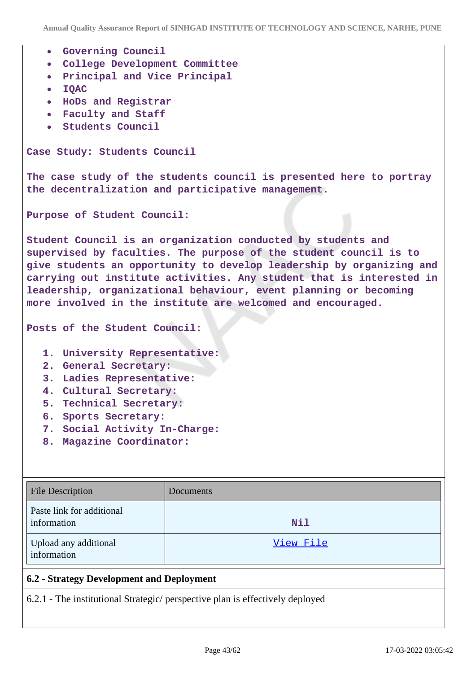**Annual Quality Assurance Report of SINHGAD INSTITUTE OF TECHNOLOGY AND SCIENCE, NARHE, PUNE**

- **Governing Council**
- **College Development Committee**
- **Principal and Vice Principal**  $\bullet$
- **IQAC**
- **HoDs and Registrar**
- **Faculty and Staff**
- **Students Council**

**Case Study: Students Council** 

**The case study of the students council is presented here to portray the decentralization and participative management.**

**Purpose of Student Council:**

**Student Council is an organization conducted by students and supervised by faculties. The purpose of the student council is to give students an opportunity to develop leadership by organizing and carrying out institute activities. Any student that is interested in leadership, organizational behaviour, event planning or becoming more involved in the institute are welcomed and encouraged.**

**Posts of the Student Council:**

- **1. University Representative:**
- **2. General Secretary:**
- **3. Ladies Representative:**
- **4. Cultural Secretary:**
- **5. Technical Secretary:**
- **6. Sports Secretary:**
- **7. Social Activity In-Charge:**
- **8. Magazine Coordinator:**

| <b>File Description</b>                  | Documents |
|------------------------------------------|-----------|
| Paste link for additional<br>information | Nil       |
| Upload any additional<br>information     | View File |

#### **6.2 - Strategy Development and Deployment**

6.2.1 - The institutional Strategic/ perspective plan is effectively deployed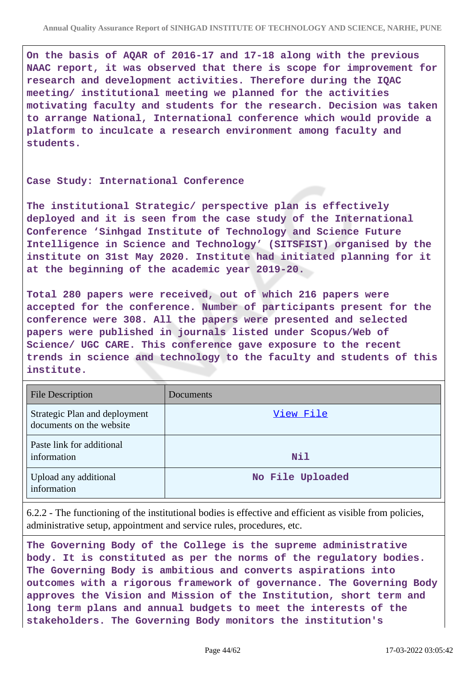**On the basis of AQAR of 2016-17 and 17-18 along with the previous NAAC report, it was observed that there is scope for improvement for research and development activities. Therefore during the IQAC meeting/ institutional meeting we planned for the activities motivating faculty and students for the research. Decision was taken to arrange National, International conference which would provide a platform to inculcate a research environment among faculty and students.**

#### **Case Study: International Conference**

**The institutional Strategic/ perspective plan is effectively deployed and it is seen from the case study of the International Conference 'Sinhgad Institute of Technology and Science Future Intelligence in Science and Technology' (SITSFIST) organised by the institute on 31st May 2020. Institute had initiated planning for it at the beginning of the academic year 2019-20.**

**Total 280 papers were received, out of which 216 papers were accepted for the conference. Number of participants present for the conference were 308. All the papers were presented and selected papers were published in journals listed under Scopus/Web of Science/ UGC CARE. This conference gave exposure to the recent trends in science and technology to the faculty and students of this institute.**

| <b>File Description</b>                                   | Documents        |
|-----------------------------------------------------------|------------------|
| Strategic Plan and deployment<br>documents on the website | View File        |
| Paste link for additional<br>information                  | Nil              |
| Upload any additional<br>information                      | No File Uploaded |

6.2.2 - The functioning of the institutional bodies is effective and efficient as visible from policies, administrative setup, appointment and service rules, procedures, etc.

**The Governing Body of the College is the supreme administrative body. It is constituted as per the norms of the regulatory bodies. The Governing Body is ambitious and converts aspirations into outcomes with a rigorous framework of governance. The Governing Body approves the Vision and Mission of the Institution, short term and long term plans and annual budgets to meet the interests of the stakeholders. The Governing Body monitors the institution's**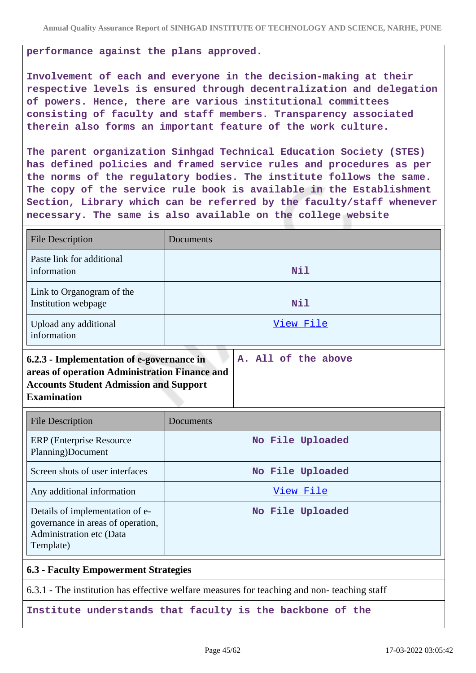**performance against the plans approved.**

**Involvement of each and everyone in the decision-making at their respective levels is ensured through decentralization and delegation of powers. Hence, there are various institutional committees consisting of faculty and staff members. Transparency associated therein also forms an important feature of the work culture.**

**The parent organization Sinhgad Technical Education Society (STES) has defined policies and framed service rules and procedures as per the norms of the regulatory bodies. The institute follows the same. The copy of the service rule book is available in the Establishment Section, Library which can be referred by the faculty/staff whenever necessary. The same is also available on the college website**

| <b>File Description</b>                                                                                                                                           | Documents           |
|-------------------------------------------------------------------------------------------------------------------------------------------------------------------|---------------------|
| Paste link for additional<br>information                                                                                                                          | Nil                 |
| Link to Organogram of the<br>Institution webpage                                                                                                                  | Nil                 |
| Upload any additional<br>information                                                                                                                              | View File           |
| 6.2.3 - Implementation of e-governance in<br>areas of operation Administration Finance and<br><b>Accounts Student Admission and Support</b><br><b>Examination</b> | A. All of the above |
| <b>File Description</b>                                                                                                                                           | Documents           |
| <b>ERP</b> (Enterprise Resource<br>Planning)Document                                                                                                              | No File Uploaded    |
| Screen shots of user interfaces                                                                                                                                   | No File Uploaded    |
| Any additional information                                                                                                                                        | View File           |
|                                                                                                                                                                   |                     |

#### **6.3 - Faculty Empowerment Strategies**

6.3.1 - The institution has effective welfare measures for teaching and non- teaching staff

**Institute understands that faculty is the backbone of the**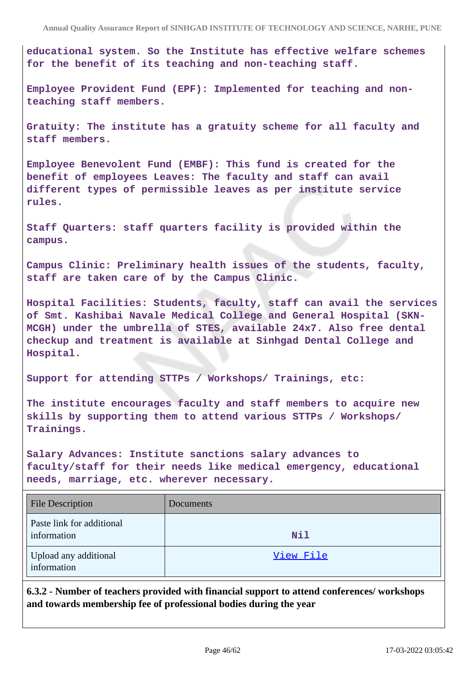**educational system. So the Institute has effective welfare schemes for the benefit of its teaching and non-teaching staff.**

**Employee Provident Fund (EPF): Implemented for teaching and nonteaching staff members.**

**Gratuity: The institute has a gratuity scheme for all faculty and staff members.**

**Employee Benevolent Fund (EMBF): This fund is created for the benefit of employees Leaves: The faculty and staff can avail different types of permissible leaves as per institute service rules.**

**Staff Quarters: staff quarters facility is provided within the campus.**

**Campus Clinic: Preliminary health issues of the students, faculty, staff are taken care of by the Campus Clinic.**

**Hospital Facilities: Students, faculty, staff can avail the services of Smt. Kashibai Navale Medical College and General Hospital (SKN-MCGH) under the umbrella of STES, available 24x7. Also free dental checkup and treatment is available at Sinhgad Dental College and Hospital.**

**Support for attending STTPs / Workshops/ Trainings, etc:** 

**The institute encourages faculty and staff members to acquire new skills by supporting them to attend various STTPs / Workshops/ Trainings.**

**Salary Advances: Institute sanctions salary advances to faculty/staff for their needs like medical emergency, educational needs, marriage, etc. wherever necessary.**

| <b>File Description</b>                  | Documents |
|------------------------------------------|-----------|
| Paste link for additional<br>information | Nil       |
| Upload any additional<br>information     | View File |

**6.3.2 - Number of teachers provided with financial support to attend conferences/ workshops and towards membership fee of professional bodies during the year**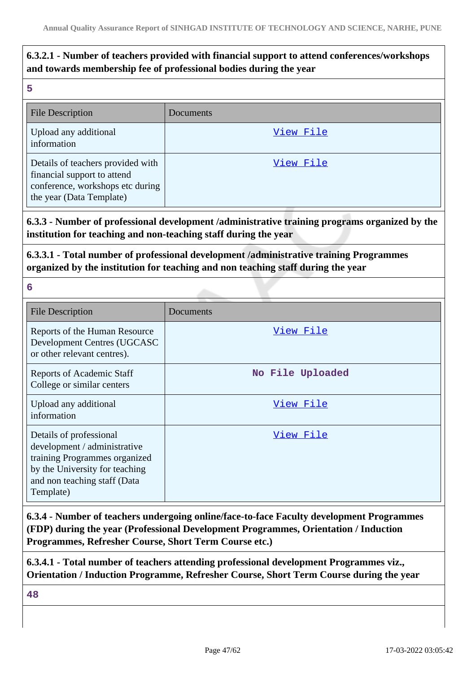# **6.3.2.1 - Number of teachers provided with financial support to attend conferences/workshops and towards membership fee of professional bodies during the year**

**5**

| <b>File Description</b>                                                                                                          | Documents |
|----------------------------------------------------------------------------------------------------------------------------------|-----------|
| Upload any additional<br>information                                                                                             | View File |
| Details of teachers provided with<br>financial support to attend<br>conference, workshops etc during<br>the year (Data Template) | View File |

**6.3.3 - Number of professional development /administrative training programs organized by the institution for teaching and non-teaching staff during the year**

**6.3.3.1 - Total number of professional development /administrative training Programmes organized by the institution for teaching and non teaching staff during the year**

**6**

| <b>File Description</b>                                                                                                                                                 | Documents        |
|-------------------------------------------------------------------------------------------------------------------------------------------------------------------------|------------------|
| Reports of the Human Resource<br>Development Centres (UGCASC<br>or other relevant centres).                                                                             | View File        |
| <b>Reports of Academic Staff</b><br>College or similar centers                                                                                                          | No File Uploaded |
| Upload any additional<br>information                                                                                                                                    | View File        |
| Details of professional<br>development / administrative<br>training Programmes organized<br>by the University for teaching<br>and non teaching staff (Data<br>Template) | View File        |

**6.3.4 - Number of teachers undergoing online/face-to-face Faculty development Programmes (FDP) during the year (Professional Development Programmes, Orientation / Induction Programmes, Refresher Course, Short Term Course etc.)**

**6.3.4.1 - Total number of teachers attending professional development Programmes viz., Orientation / Induction Programme, Refresher Course, Short Term Course during the year**

**48**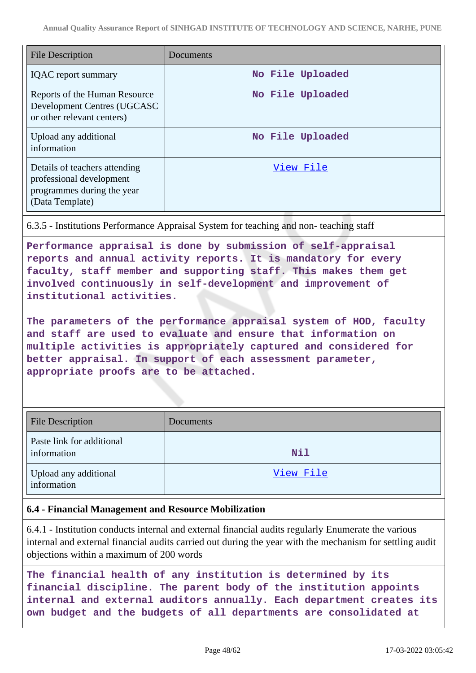| <b>File Description</b>                                                                                    | Documents        |
|------------------------------------------------------------------------------------------------------------|------------------|
| <b>IQAC</b> report summary                                                                                 | No File Uploaded |
| Reports of the Human Resource<br>Development Centres (UGCASC<br>or other relevant centers)                 | No File Uploaded |
| Upload any additional<br>information                                                                       | No File Uploaded |
| Details of teachers attending<br>professional development<br>programmes during the year<br>(Data Template) | View File        |

6.3.5 - Institutions Performance Appraisal System for teaching and non- teaching staff

**Performance appraisal is done by submission of self-appraisal reports and annual activity reports. It is mandatory for every faculty, staff member and supporting staff. This makes them get involved continuously in self-development and improvement of institutional activities.**

**The parameters of the performance appraisal system of HOD, faculty and staff are used to evaluate and ensure that information on multiple activities is appropriately captured and considered for better appraisal. In support of each assessment parameter, appropriate proofs are to be attached.**

| <b>File Description</b>                  | Documents |
|------------------------------------------|-----------|
| Paste link for additional<br>information | Nil       |
| Upload any additional<br>information     | View File |

#### **6.4 - Financial Management and Resource Mobilization**

6.4.1 - Institution conducts internal and external financial audits regularly Enumerate the various internal and external financial audits carried out during the year with the mechanism for settling audit objections within a maximum of 200 words

```
The financial health of any institution is determined by its
financial discipline. The parent body of the institution appoints
internal and external auditors annually. Each department creates its
own budget and the budgets of all departments are consolidated at
```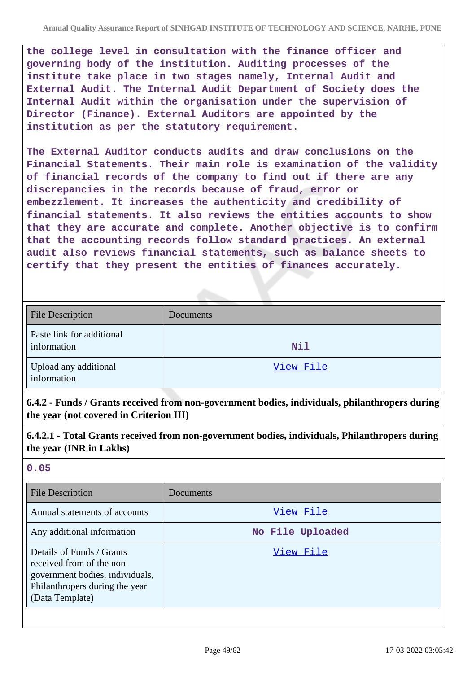**the college level in consultation with the finance officer and governing body of the institution. Auditing processes of the institute take place in two stages namely, Internal Audit and External Audit. The Internal Audit Department of Society does the Internal Audit within the organisation under the supervision of Director (Finance). External Auditors are appointed by the institution as per the statutory requirement.**

**The External Auditor conducts audits and draw conclusions on the Financial Statements. Their main role is examination of the validity of financial records of the company to find out if there are any discrepancies in the records because of fraud, error or embezzlement. It increases the authenticity and credibility of financial statements. It also reviews the entities accounts to show that they are accurate and complete. Another objective is to confirm that the accounting records follow standard practices. An external audit also reviews financial statements, such as balance sheets to certify that they present the entities of finances accurately.**

| <b>File Description</b>                  | Documents |
|------------------------------------------|-----------|
| Paste link for additional<br>information | Nil       |
| Upload any additional<br>information     | View File |

**6.4.2 - Funds / Grants received from non-government bodies, individuals, philanthropers during the year (not covered in Criterion III)**

**6.4.2.1 - Total Grants received from non-government bodies, individuals, Philanthropers during the year (INR in Lakhs)**

#### **0.05**

| <b>File Description</b>                                                                                                                        | Documents        |
|------------------------------------------------------------------------------------------------------------------------------------------------|------------------|
| Annual statements of accounts                                                                                                                  | View File        |
| Any additional information                                                                                                                     | No File Uploaded |
| Details of Funds / Grants<br>received from of the non-<br>government bodies, individuals,<br>Philanthropers during the year<br>(Data Template) | View File        |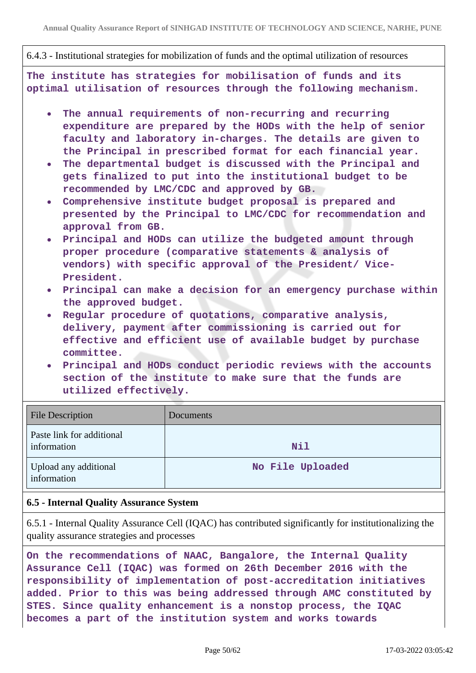|                                                                                                                                                                                                                                                                                                                                                                                                                                                                                                                                                                                                                                                                                                                                                                                                                                                                                                                                                                                                                                                                                                                                                                                                                                                                             | Thinian Quanty Assurance Report of SHARGAD HAS LEG LEG OF TECHNOLOGY AND SCHENCE, NARRIEG E ONE |  |
|-----------------------------------------------------------------------------------------------------------------------------------------------------------------------------------------------------------------------------------------------------------------------------------------------------------------------------------------------------------------------------------------------------------------------------------------------------------------------------------------------------------------------------------------------------------------------------------------------------------------------------------------------------------------------------------------------------------------------------------------------------------------------------------------------------------------------------------------------------------------------------------------------------------------------------------------------------------------------------------------------------------------------------------------------------------------------------------------------------------------------------------------------------------------------------------------------------------------------------------------------------------------------------|-------------------------------------------------------------------------------------------------|--|
| 6.4.3 - Institutional strategies for mobilization of funds and the optimal utilization of resources                                                                                                                                                                                                                                                                                                                                                                                                                                                                                                                                                                                                                                                                                                                                                                                                                                                                                                                                                                                                                                                                                                                                                                         |                                                                                                 |  |
| The institute has strategies for mobilisation of funds and its<br>optimal utilisation of resources through the following mechanism.                                                                                                                                                                                                                                                                                                                                                                                                                                                                                                                                                                                                                                                                                                                                                                                                                                                                                                                                                                                                                                                                                                                                         |                                                                                                 |  |
| The annual requirements of non-recurring and recurring<br>expenditure are prepared by the HODs with the help of senior<br>faculty and laboratory in-charges. The details are given to<br>the Principal in prescribed format for each financial year.<br>The departmental budget is discussed with the Principal and<br>gets finalized to put into the institutional budget to be<br>recommended by LMC/CDC and approved by GB.<br>Comprehensive institute budget proposal is prepared and<br>$\bullet$<br>presented by the Principal to LMC/CDC for recommendation and<br>approval from GB.<br>Principal and HODs can utilize the budgeted amount through<br>$\bullet$<br>proper procedure (comparative statements & analysis of<br>vendors) with specific approval of the President/ Vice-<br>President.<br>Principal can make a decision for an emergency purchase within<br>the approved budget.<br>Regular procedure of quotations, comparative analysis,<br>$\bullet$<br>delivery, payment after commissioning is carried out for<br>effective and efficient use of available budget by purchase<br>committee.<br>• Principal and HODs conduct periodic reviews with the accounts<br>section of the institute to make sure that the funds are<br>utilized effectively. |                                                                                                 |  |
| <b>File Description</b>                                                                                                                                                                                                                                                                                                                                                                                                                                                                                                                                                                                                                                                                                                                                                                                                                                                                                                                                                                                                                                                                                                                                                                                                                                                     | Documents                                                                                       |  |
| Paste link for additional<br>information                                                                                                                                                                                                                                                                                                                                                                                                                                                                                                                                                                                                                                                                                                                                                                                                                                                                                                                                                                                                                                                                                                                                                                                                                                    | Nil                                                                                             |  |
| Upload any additional                                                                                                                                                                                                                                                                                                                                                                                                                                                                                                                                                                                                                                                                                                                                                                                                                                                                                                                                                                                                                                                                                                                                                                                                                                                       | No File Uploaded                                                                                |  |

#### **6.5 - Internal Quality Assurance System**

information

6.5.1 - Internal Quality Assurance Cell (IQAC) has contributed significantly for institutionalizing the quality assurance strategies and processes

**On the recommendations of NAAC, Bangalore, the Internal Quality Assurance Cell (IQAC) was formed on 26th December 2016 with the responsibility of implementation of post-accreditation initiatives added. Prior to this was being addressed through AMC constituted by STES. Since quality enhancement is a nonstop process, the IQAC becomes a part of the institution system and works towards**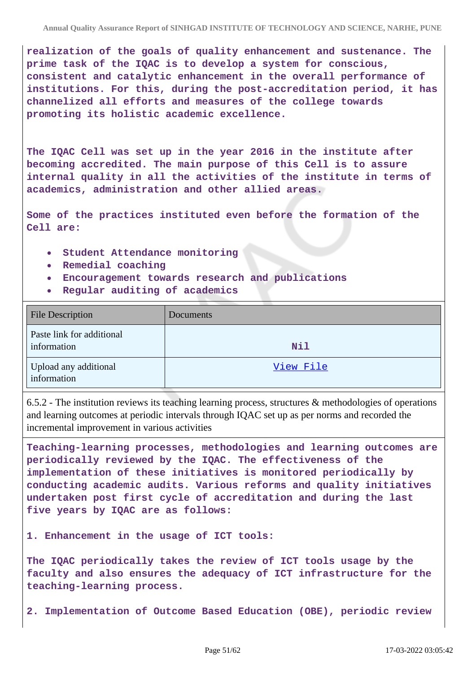**realization of the goals of quality enhancement and sustenance. The prime task of the IQAC is to develop a system for conscious, consistent and catalytic enhancement in the overall performance of institutions. For this, during the post-accreditation period, it has channelized all efforts and measures of the college towards promoting its holistic academic excellence.**

**The IQAC Cell was set up in the year 2016 in the institute after becoming accredited. The main purpose of this Cell is to assure internal quality in all the activities of the institute in terms of academics, administration and other allied areas.**

**Some of the practices instituted even before the formation of the Cell are:**

- **Student Attendance monitoring**  $\bullet$
- **Remedial coaching**
- **Encouragement towards research and publications**
- **Regular auditing of academics**

| <b>File Description</b>                  | Documents |
|------------------------------------------|-----------|
| Paste link for additional<br>information | Nil       |
| Upload any additional<br>information     | View File |

6.5.2 - The institution reviews its teaching learning process, structures & methodologies of operations and learning outcomes at periodic intervals through IQAC set up as per norms and recorded the incremental improvement in various activities

**Teaching-learning processes, methodologies and learning outcomes are periodically reviewed by the IQAC. The effectiveness of the implementation of these initiatives is monitored periodically by conducting academic audits. Various reforms and quality initiatives undertaken post first cycle of accreditation and during the last five years by IQAC are as follows:**

**1. Enhancement in the usage of ICT tools:**

**The IQAC periodically takes the review of ICT tools usage by the faculty and also ensures the adequacy of ICT infrastructure for the teaching-learning process.**

**2. Implementation of Outcome Based Education (OBE), periodic review**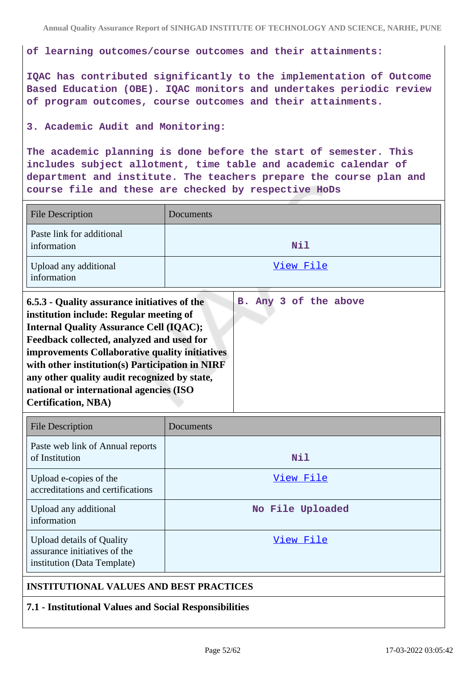#### **of learning outcomes/course outcomes and their attainments:**

**IQAC has contributed significantly to the implementation of Outcome Based Education (OBE). IQAC monitors and undertakes periodic review of program outcomes, course outcomes and their attainments.**

#### **3. Academic Audit and Monitoring:**

**The academic planning is done before the start of semester. This includes subject allotment, time table and academic calendar of department and institute. The teachers prepare the course plan and course file and these are checked by respective HoDs**

| <b>File Description</b>                                                                                                                                                                                                                                                                                                                                                                                                                          | Documents        |  |
|--------------------------------------------------------------------------------------------------------------------------------------------------------------------------------------------------------------------------------------------------------------------------------------------------------------------------------------------------------------------------------------------------------------------------------------------------|------------------|--|
| Paste link for additional<br>information                                                                                                                                                                                                                                                                                                                                                                                                         | <b>Nil</b>       |  |
| Upload any additional<br>information                                                                                                                                                                                                                                                                                                                                                                                                             | View File        |  |
| Any 3 of the above<br>6.5.3 - Quality assurance initiatives of the<br>в.<br>institution include: Regular meeting of<br><b>Internal Quality Assurance Cell (IQAC);</b><br>Feedback collected, analyzed and used for<br>improvements Collaborative quality initiatives<br>with other institution(s) Participation in NIRF<br>any other quality audit recognized by state,<br>national or international agencies (ISO<br><b>Certification, NBA)</b> |                  |  |
| <b>File Description</b>                                                                                                                                                                                                                                                                                                                                                                                                                          | Documents        |  |
| Paste web link of Annual reports<br>of Institution                                                                                                                                                                                                                                                                                                                                                                                               | Nil              |  |
| Upload e-copies of the<br>accreditations and certifications                                                                                                                                                                                                                                                                                                                                                                                      | View File        |  |
| Upload any additional<br>information                                                                                                                                                                                                                                                                                                                                                                                                             | No File Uploaded |  |
| <b>Upload details of Quality</b><br>assurance initiatives of the<br>institution (Data Template)                                                                                                                                                                                                                                                                                                                                                  | View File        |  |
| <b>INSTITUTIONAL VALUES AND BEST PRACTICES</b>                                                                                                                                                                                                                                                                                                                                                                                                   |                  |  |

#### **7.1 - Institutional Values and Social Responsibilities**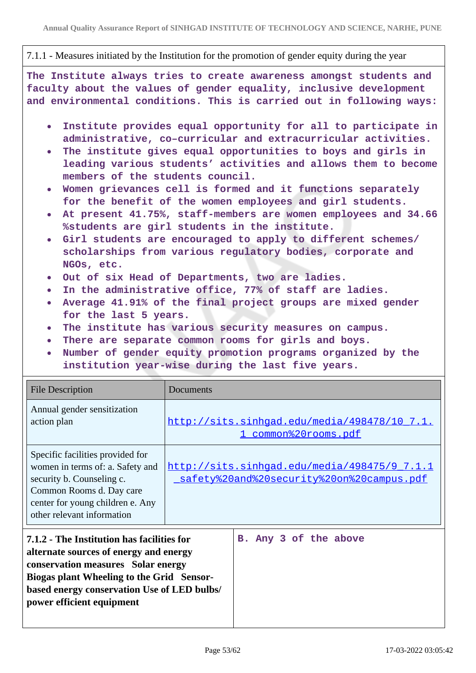7.1.1 - Measures initiated by the Institution for the promotion of gender equity during the year

**The Institute always tries to create awareness amongst students and faculty about the values of gender equality, inclusive development and environmental conditions. This is carried out in following ways:**

- **Institute provides equal opportunity for all to participate in administrative, co–curricular and extracurricular activities.**
- **The institute gives equal opportunities to boys and girls in leading various students' activities and allows them to become members of the students council.**
- **Women grievances cell is formed and it functions separately for the benefit of the women employees and girl students.**
- **At present 41.75%, staff-members are women employees and 34.66 %students are girl students in the institute.**
- **Girl students are encouraged to apply to different schemes/ scholarships from various regulatory bodies, corporate and NGOs, etc.**
- **Out of six Head of Departments, two are ladies.**
- **In the administrative office, 77% of staff are ladies.**
- **Average 41.91% of the final project groups are mixed gender for the last 5 years.**
- **The institute has various security measures on campus.**  $\bullet$
- **There are separate common rooms for girls and boys.**
- **Number of gender equity promotion programs organized by the institution year-wise during the last five years.**

| <b>File Description</b>                                                                                                                                                                                                                             | Documents                                                                                 |
|-----------------------------------------------------------------------------------------------------------------------------------------------------------------------------------------------------------------------------------------------------|-------------------------------------------------------------------------------------------|
| Annual gender sensitization<br>action plan                                                                                                                                                                                                          | http://sits.sinhqad.edu/media/498478/10 7.1.<br>1 common%20rooms.pdf                      |
| Specific facilities provided for<br>women in terms of: a. Safety and<br>security b. Counseling c.<br>Common Rooms d. Day care<br>center for young children e. Any<br>other relevant information                                                     | http://sits.sinhqad.edu/media/498475/9 7.1.1<br>safety%20and%20security%20on%20campus.pdf |
| 7.1.2 - The Institution has facilities for<br>alternate sources of energy and energy<br>conservation measures Solar energy<br>Biogas plant Wheeling to the Grid Sensor-<br>based energy conservation Use of LED bulbs/<br>power efficient equipment | B. Any 3 of the above                                                                     |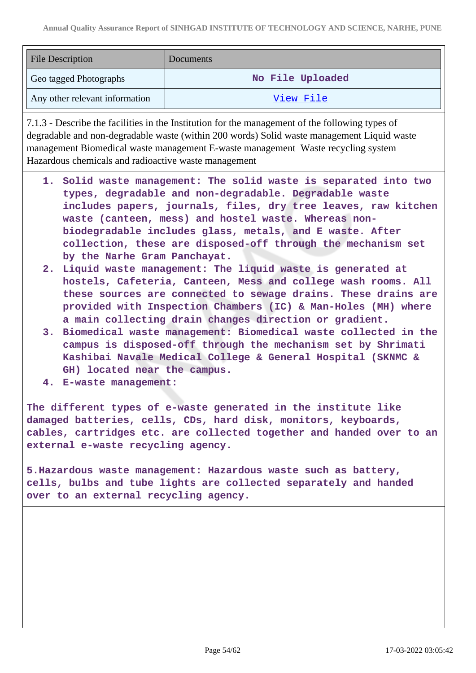| File Description               | Documents        |
|--------------------------------|------------------|
| Geo tagged Photographs         | No File Uploaded |
| Any other relevant information | View File        |

7.1.3 - Describe the facilities in the Institution for the management of the following types of degradable and non-degradable waste (within 200 words) Solid waste management Liquid waste management Biomedical waste management E-waste management Waste recycling system Hazardous chemicals and radioactive waste management

- **1. Solid waste management: The solid waste is separated into two types, degradable and non-degradable. Degradable waste includes papers, journals, files, dry tree leaves, raw kitchen waste (canteen, mess) and hostel waste. Whereas nonbiodegradable includes glass, metals, and E waste. After collection, these are disposed-off through the mechanism set by the Narhe Gram Panchayat.**
- **2. Liquid waste management: The liquid waste is generated at hostels, Cafeteria, Canteen, Mess and college wash rooms. All these sources are connected to sewage drains. These drains are provided with Inspection Chambers (IC) & Man-Holes (MH) where a main collecting drain changes direction or gradient.**
- **3. Biomedical waste management: Biomedical waste collected in the campus is disposed-off through the mechanism set by Shrimati Kashibai Navale Medical College & General Hospital (SKNMC & GH) located near the campus.**
- **4. E-waste management:**

**The different types of e-waste generated in the institute like damaged batteries, cells, CDs, hard disk, monitors, keyboards, cables, cartridges etc. are collected together and handed over to an external e-waste recycling agency.**

**5.Hazardous waste management: Hazardous waste such as battery, cells, bulbs and tube lights are collected separately and handed over to an external recycling agency.**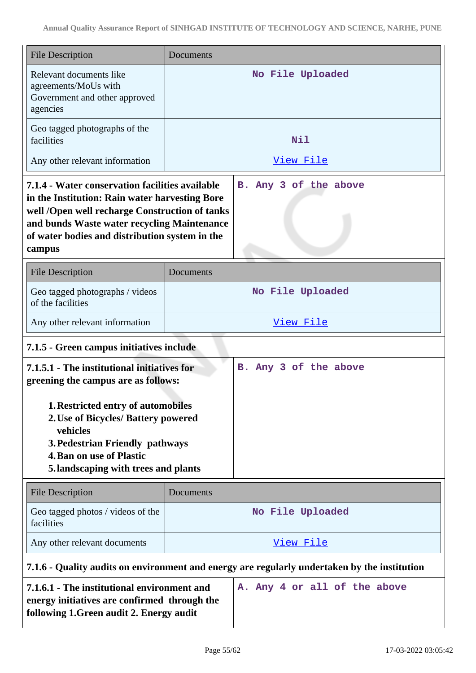| <b>File Description</b>                                                                                                                                                                                                                                        | Documents                                |  |  |
|----------------------------------------------------------------------------------------------------------------------------------------------------------------------------------------------------------------------------------------------------------------|------------------------------------------|--|--|
| Relevant documents like<br>agreements/MoUs with<br>Government and other approved<br>agencies                                                                                                                                                                   | No File Uploaded                         |  |  |
| Geo tagged photographs of the<br>facilities                                                                                                                                                                                                                    | Nil                                      |  |  |
| Any other relevant information                                                                                                                                                                                                                                 | View File                                |  |  |
| 7.1.4 - Water conservation facilities available<br>in the Institution: Rain water harvesting Bore<br>well /Open well recharge Construction of tanks<br>and bunds Waste water recycling Maintenance<br>of water bodies and distribution system in the<br>campus | B. Any 3 of the above                    |  |  |
| <b>File Description</b>                                                                                                                                                                                                                                        | Documents                                |  |  |
| Geo tagged photographs / videos<br>of the facilities                                                                                                                                                                                                           | No File Uploaded                         |  |  |
| Any other relevant information                                                                                                                                                                                                                                 | View File                                |  |  |
|                                                                                                                                                                                                                                                                | 7.1.5 - Green campus initiatives include |  |  |
| 7.1.5.1 - The institutional initiatives for<br>B. Any 3 of the above<br>greening the campus are as follows:<br>1. Restricted entry of automobiles<br>2. Use of Bicycles/ Battery powered<br>vehicles<br>3. Pedestrian Friendly pathways                        |                                          |  |  |
| <b>4. Ban on use of Plastic</b><br>5. landscaping with trees and plants                                                                                                                                                                                        |                                          |  |  |
| <b>File Description</b>                                                                                                                                                                                                                                        | Documents                                |  |  |
| Geo tagged photos / videos of the<br>facilities                                                                                                                                                                                                                | No File Uploaded                         |  |  |
| Any other relevant documents                                                                                                                                                                                                                                   | View File                                |  |  |
| 7.1.6 - Quality audits on environment and energy are regularly undertaken by the institution                                                                                                                                                                   |                                          |  |  |
| 7.1.6.1 - The institutional environment and<br>energy initiatives are confirmed through the<br>following 1.Green audit 2. Energy audit                                                                                                                         | A. Any 4 or all of the above             |  |  |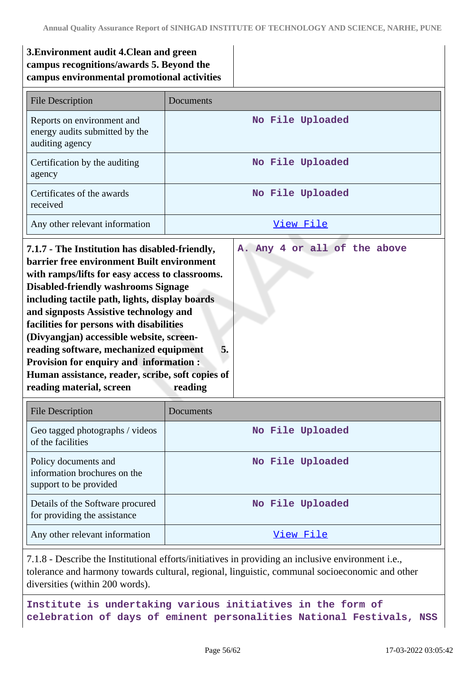# **3.Environment audit 4.Clean and green campus recognitions/awards 5. Beyond the campus environmental promotional activities**

| Reports on environment and<br>No File Uploaded<br>energy audits submitted by the<br>auditing agency<br>No File Uploaded<br>Certification by the auditing<br>agency<br>Certificates of the awards<br>No File Uploaded<br>received<br>View File<br>Any other relevant information<br>A. Any 4 or all of the above<br>7.1.7 - The Institution has disabled-friendly,<br>barrier free environment Built environment<br>with ramps/lifts for easy access to classrooms.<br><b>Disabled-friendly washrooms Signage</b><br>including tactile path, lights, display boards<br>and signposts Assistive technology and<br>facilities for persons with disabilities<br>(Divyangjan) accessible website, screen-<br>reading software, mechanized equipment<br>5.<br><b>Provision for enquiry and information:</b><br>Human assistance, reader, scribe, soft copies of | <b>File Description</b> | Documents |
|-----------------------------------------------------------------------------------------------------------------------------------------------------------------------------------------------------------------------------------------------------------------------------------------------------------------------------------------------------------------------------------------------------------------------------------------------------------------------------------------------------------------------------------------------------------------------------------------------------------------------------------------------------------------------------------------------------------------------------------------------------------------------------------------------------------------------------------------------------------|-------------------------|-----------|
|                                                                                                                                                                                                                                                                                                                                                                                                                                                                                                                                                                                                                                                                                                                                                                                                                                                           |                         |           |
|                                                                                                                                                                                                                                                                                                                                                                                                                                                                                                                                                                                                                                                                                                                                                                                                                                                           |                         |           |
|                                                                                                                                                                                                                                                                                                                                                                                                                                                                                                                                                                                                                                                                                                                                                                                                                                                           |                         |           |
|                                                                                                                                                                                                                                                                                                                                                                                                                                                                                                                                                                                                                                                                                                                                                                                                                                                           |                         |           |
| reading material, screen<br>reading<br><b>File Description</b><br>Documents                                                                                                                                                                                                                                                                                                                                                                                                                                                                                                                                                                                                                                                                                                                                                                               |                         |           |

| <b>File Description</b>                                                        | Documents        |
|--------------------------------------------------------------------------------|------------------|
| Geo tagged photographs / videos<br>of the facilities                           | No File Uploaded |
| Policy documents and<br>information brochures on the<br>support to be provided | No File Uploaded |
| Details of the Software procured<br>for providing the assistance               | No File Uploaded |
| Any other relevant information                                                 | View File        |

7.1.8 - Describe the Institutional efforts/initiatives in providing an inclusive environment i.e., tolerance and harmony towards cultural, regional, linguistic, communal socioeconomic and other diversities (within 200 words).

**Institute is undertaking various initiatives in the form of celebration of days of eminent personalities National Festivals, NSS**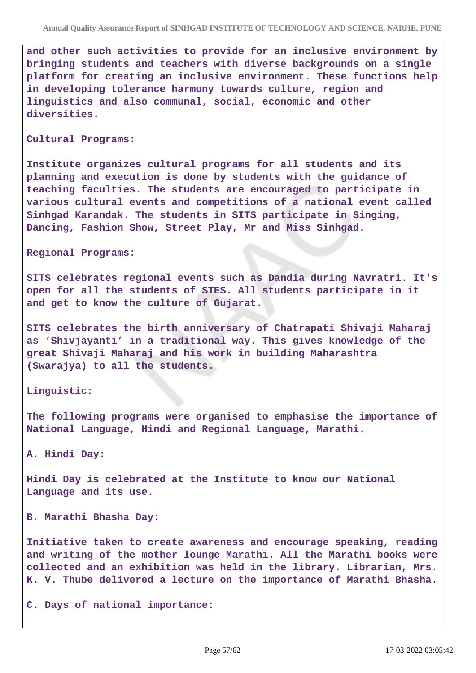**and other such activities to provide for an inclusive environment by bringing students and teachers with diverse backgrounds on a single platform for creating an inclusive environment. These functions help in developing tolerance harmony towards culture, region and linguistics and also communal, social, economic and other diversities.**

#### **Cultural Programs:**

**Institute organizes cultural programs for all students and its planning and execution is done by students with the guidance of teaching faculties. The students are encouraged to participate in various cultural events and competitions of a national event called Sinhgad Karandak. The students in SITS participate in Singing, Dancing, Fashion Show, Street Play, Mr and Miss Sinhgad.**

**Regional Programs:** 

**SITS celebrates regional events such as Dandia during Navratri. It's open for all the students of STES. All students participate in it and get to know the culture of Gujarat.**

**SITS celebrates the birth anniversary of Chatrapati Shivaji Maharaj as 'Shivjayanti' in a traditional way. This gives knowledge of the great Shivaji Maharaj and his work in building Maharashtra (Swarajya) to all the students.**

**Linguistic:**

**The following programs were organised to emphasise the importance of National Language, Hindi and Regional Language, Marathi.**

**A. Hindi Day:**

**Hindi Day is celebrated at the Institute to know our National Language and its use.**

**B. Marathi Bhasha Day:** 

**Initiative taken to create awareness and encourage speaking, reading and writing of the mother lounge Marathi. All the Marathi books were collected and an exhibition was held in the library. Librarian, Mrs. K. V. Thube delivered a lecture on the importance of Marathi Bhasha.**

**C. Days of national importance:**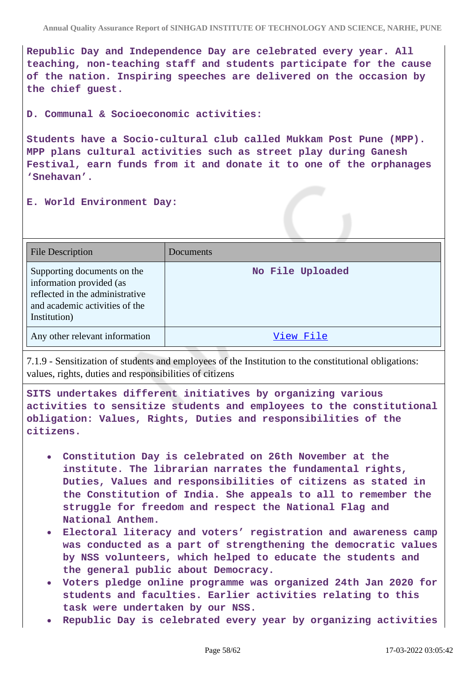**Republic Day and Independence Day are celebrated every year. All teaching, non-teaching staff and students participate for the cause of the nation. Inspiring speeches are delivered on the occasion by the chief guest.**

#### **D. Communal & Socioeconomic activities:**

**Students have a Socio-cultural club called Mukkam Post Pune (MPP). MPP plans cultural activities such as street play during Ganesh Festival, earn funds from it and donate it to one of the orphanages 'Snehavan'.**

#### **E. World Environment Day:**

| <b>File Description</b>                                                                                                                      | Documents        |
|----------------------------------------------------------------------------------------------------------------------------------------------|------------------|
| Supporting documents on the<br>information provided (as<br>reflected in the administrative<br>and academic activities of the<br>Institution) | No File Uploaded |
| Any other relevant information                                                                                                               | View File        |

7.1.9 - Sensitization of students and employees of the Institution to the constitutional obligations: values, rights, duties and responsibilities of citizens

**SITS undertakes different initiatives by organizing various activities to sensitize students and employees to the constitutional obligation: Values, Rights, Duties and responsibilities of the citizens.**

- **Constitution Day is celebrated on 26th November at the institute. The librarian narrates the fundamental rights, Duties, Values and responsibilities of citizens as stated in the Constitution of India. She appeals to all to remember the struggle for freedom and respect the National Flag and National Anthem.**
- **Electoral literacy and voters' registration and awareness camp was conducted as a part of strengthening the democratic values by NSS volunteers, which helped to educate the students and the general public about Democracy.**
- **Voters pledge online programme was organized 24th Jan 2020 for students and faculties. Earlier activities relating to this task were undertaken by our NSS.**
- **Republic Day is celebrated every year by organizing activities**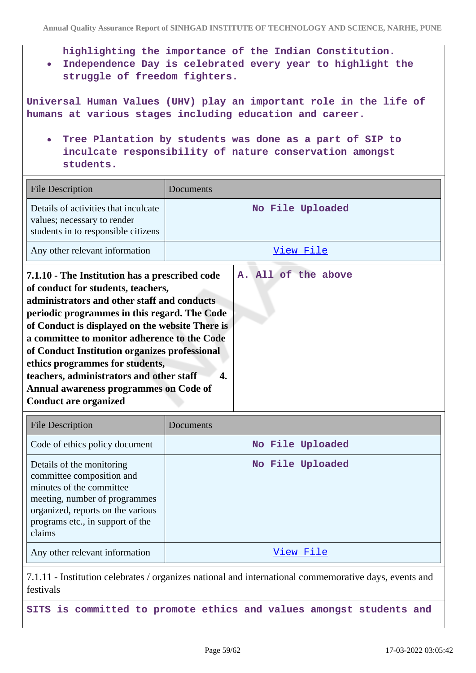**highlighting the importance of the Indian Constitution.**

**Independence Day is celebrated every year to highlight the struggle of freedom fighters.**

**Universal Human Values (UHV) play an important role in the life of humans at various stages including education and career.**

**Tree Plantation by students was done as a part of SIP to inculcate responsibility of nature conservation amongst students.**

| <b>File Description</b>                                                                                                                                                                                                                                                                | Documents           |
|----------------------------------------------------------------------------------------------------------------------------------------------------------------------------------------------------------------------------------------------------------------------------------------|---------------------|
| Details of activities that inculcate<br>values; necessary to render<br>students in to responsible citizens                                                                                                                                                                             | No File Uploaded    |
| Any other relevant information                                                                                                                                                                                                                                                         | View File           |
| 7.1.10 - The Institution has a prescribed code<br>of conduct for students, teachers,<br>administrators and other staff and conducts<br>periodic programmes in this regard. The Code<br>of Conduct is displayed on the website There is<br>a committee to monitor adherence to the Code | A. All of the above |

| of Conduct Institution organizes professional  |
|------------------------------------------------|
| ethics programmes for students,                |
| teachers, administrators and other staff<br>4. |
| Annual awareness programmes on Code of         |
| <b>Conduct are organized</b>                   |

| <b>File Description</b>                                                                                                                                                                                | Documents        |
|--------------------------------------------------------------------------------------------------------------------------------------------------------------------------------------------------------|------------------|
| Code of ethics policy document                                                                                                                                                                         | No File Uploaded |
| Details of the monitoring<br>committee composition and<br>minutes of the committee<br>meeting, number of programmes<br>organized, reports on the various<br>programs etc., in support of the<br>claims | No File Uploaded |
| Any other relevant information                                                                                                                                                                         | View File        |

7.1.11 - Institution celebrates / organizes national and international commemorative days, events and festivals

**SITS is committed to promote ethics and values amongst students and**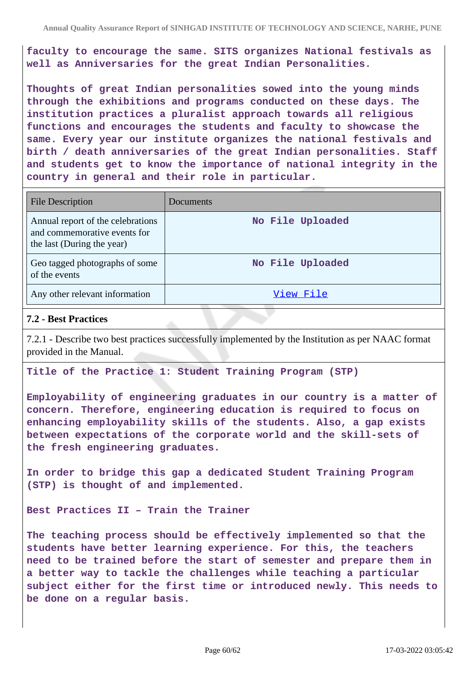**faculty to encourage the same. SITS organizes National festivals as well as Anniversaries for the great Indian Personalities.**

**Thoughts of great Indian personalities sowed into the young minds through the exhibitions and programs conducted on these days. The institution practices a pluralist approach towards all religious functions and encourages the students and faculty to showcase the same. Every year our institute organizes the national festivals and birth / death anniversaries of the great Indian personalities. Staff and students get to know the importance of national integrity in the country in general and their role in particular.**

| <b>File Description</b>                                                                         | Documents        |
|-------------------------------------------------------------------------------------------------|------------------|
| Annual report of the celebrations<br>and commemorative events for<br>the last (During the year) | No File Uploaded |
| Geo tagged photographs of some<br>of the events                                                 | No File Uploaded |
| Any other relevant information                                                                  | View File        |

#### **7.2 - Best Practices**

7.2.1 - Describe two best practices successfully implemented by the Institution as per NAAC format provided in the Manual.

#### **Title of the Practice 1: Student Training Program (STP)**

**Employability of engineering graduates in our country is a matter of concern. Therefore, engineering education is required to focus on enhancing employability skills of the students. Also, a gap exists between expectations of the corporate world and the skill-sets of the fresh engineering graduates.**

**In order to bridge this gap a dedicated Student Training Program (STP) is thought of and implemented.**

**Best Practices II – Train the Trainer**

**The teaching process should be effectively implemented so that the students have better learning experience. For this, the teachers need to be trained before the start of semester and prepare them in a better way to tackle the challenges while teaching a particular subject either for the first time or introduced newly. This needs to be done on a regular basis.**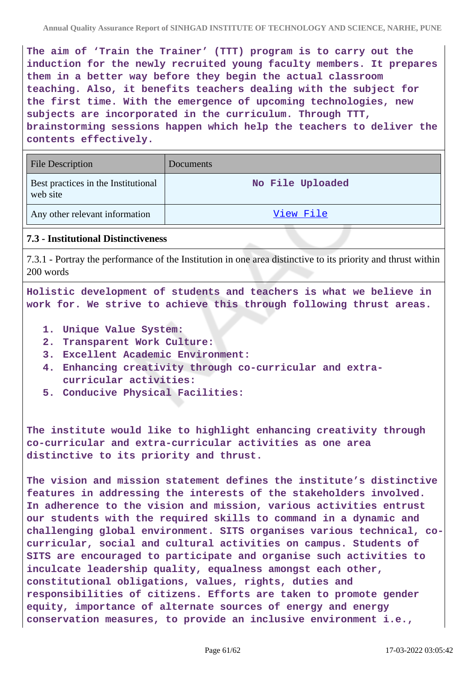**The aim of 'Train the Trainer' (TTT) program is to carry out the induction for the newly recruited young faculty members. It prepares them in a better way before they begin the actual classroom teaching. Also, it benefits teachers dealing with the subject for the first time. With the emergence of upcoming technologies, new subjects are incorporated in the curriculum. Through TTT, brainstorming sessions happen which help the teachers to deliver the contents effectively.**

| <b>File Description</b>                         | <b>Documents</b> |
|-------------------------------------------------|------------------|
| Best practices in the Institutional<br>web site | No File Uploaded |
| Any other relevant information                  | View File        |

#### **7.3 - Institutional Distinctiveness**

7.3.1 - Portray the performance of the Institution in one area distinctive to its priority and thrust within 200 words

**Holistic development of students and teachers is what we believe in work for. We strive to achieve this through following thrust areas.**

- **1. Unique Value System:**
- **2. Transparent Work Culture:**
- **3. Excellent Academic Environment:**
- **4. Enhancing creativity through co-curricular and extracurricular activities:**
- **5. Conducive Physical Facilities:**

**The institute would like to highlight enhancing creativity through co-curricular and extra-curricular activities as one area distinctive to its priority and thrust.**

**The vision and mission statement defines the institute's distinctive features in addressing the interests of the stakeholders involved. In adherence to the vision and mission, various activities entrust our students with the required skills to command in a dynamic and challenging global environment. SITS organises various technical, cocurricular, social and cultural activities on campus. Students of SITS are encouraged to participate and organise such activities to inculcate leadership quality, equalness amongst each other, constitutional obligations, values, rights, duties and responsibilities of citizens. Efforts are taken to promote gender equity, importance of alternate sources of energy and energy conservation measures, to provide an inclusive environment i.e.,**